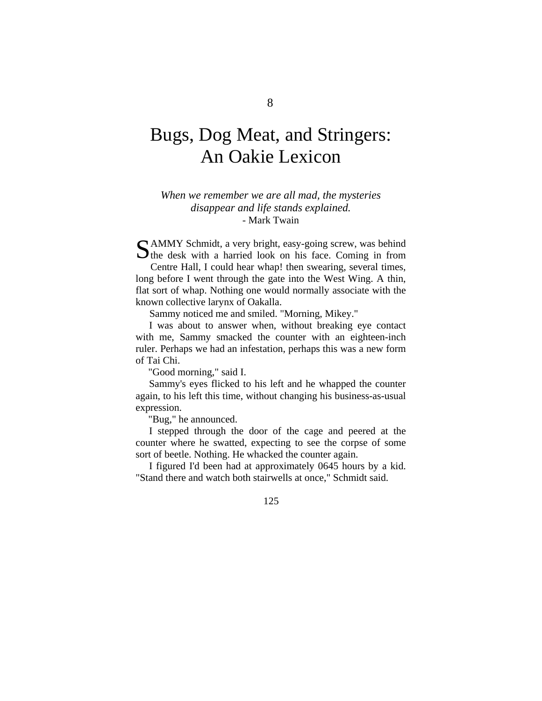# Bugs, Dog Meat, and Stringers: An Oakie Lexicon

### *When we remember we are all mad, the mysteries disappear and life stands explained.*  - Mark Twain

AMMY Schmidt, a very bright, easy-going screw, was behind SAMMY Schmidt, a very bright, easy-going screw, was behind the desk with a harried look on his face. Coming in from

Centre Hall, I could hear whap! then swearing, several times, long before I went through the gate into the West Wing. A thin, flat sort of whap. Nothing one would normally associate with the known collective larynx of Oakalla.

Sammy noticed me and smiled. "Morning, Mikey."

I was about to answer when, without breaking eye contact with me, Sammy smacked the counter with an eighteen-inch ruler. Perhaps we had an infestation, perhaps this was a new form of Tai Chi.

"Good morning," said I.

Sammy's eyes flicked to his left and he whapped the counter again, to his left this time, without changing his business-as-usual expression.

"Bug," he announced.

I stepped through the door of the cage and peered at the counter where he swatted, expecting to see the corpse of some sort of beetle. Nothing. He whacked the counter again.

I figured I'd been had at approximately 0645 hours by a kid. "Stand there and watch both stairwells at once," Schmidt said.

125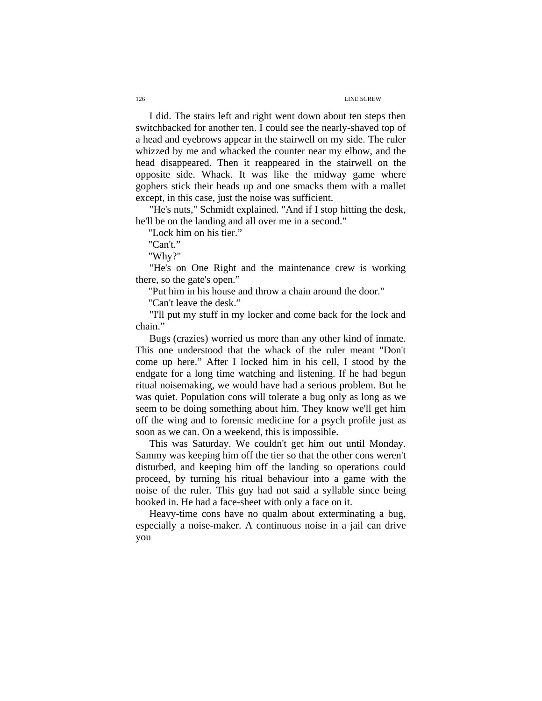I did. The stairs left and right went down about ten steps then switchbacked for another ten. I could see the nearly-shaved top of a head and eyebrows appear in the stairwell on my side. The ruler whizzed by me and whacked the counter near my elbow, and the head disappeared. Then it reappeared in the stairwell on the opposite side. Whack. It was like the midway game where gophers stick their heads up and one smacks them with a mallet except, in this case, just the noise was sufficient.

"He's nuts," Schmidt explained. "And if I stop hitting the desk, he'll be on the landing and all over me in a second."

"Lock him on his tier."

"Can't."

"Why?"

"He's on One Right and the maintenance crew is working there, so the gate's open."

"Put him in his house and throw a chain around the door."

"Can't leave the desk."

"I'll put my stuff in my locker and come back for the lock and chain."

Bugs (crazies) worried us more than any other kind of inmate. This one understood that the whack of the ruler meant "Don't come up here." After I locked him in his cell, I stood by the endgate for a long time watching and listening. If he had begun ritual noisemaking, we would have had a serious problem. But he was quiet. Population cons will tolerate a bug only as long as we seem to be doing something about him. They know we'll get him off the wing and to forensic medicine for a psych profile just as soon as we can. On a weekend, this is impossible.

This was Saturday. We couldn't get him out until Monday. Sammy was keeping him off the tier so that the other cons weren't disturbed, and keeping him off the landing so operations could proceed, by turning his ritual behaviour into a game with the noise of the ruler. This guy had not said a syllable since being booked in. He had a face-sheet with only a face on it.

Heavy-time cons have no qualm about exterminating a bug, especially a noise-maker. A continuous noise in a jail can drive you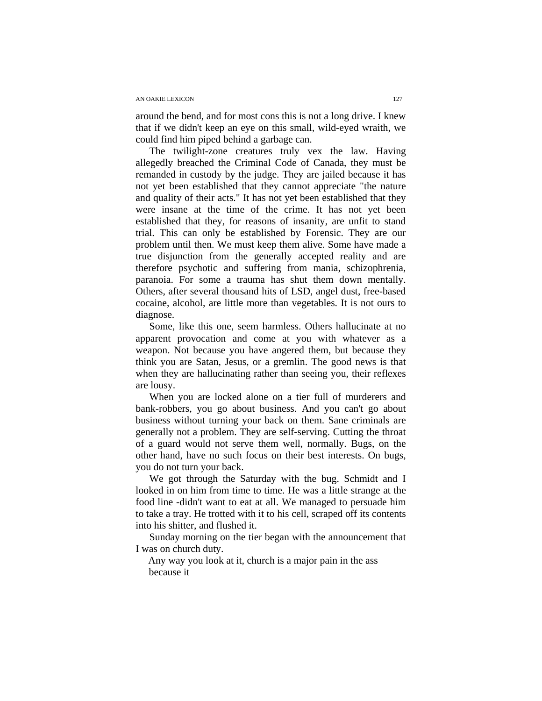### AN OAKIE LEXICON 127

around the bend, and for most cons this is not a long drive. I knew that if we didn't keep an eye on this small, wild-eyed wraith, we could find him piped behind a garbage can.

The twilight-zone creatures truly vex the law. Having allegedly breached the Criminal Code of Canada, they must be remanded in custody by the judge. They are jailed because it has not yet been established that they cannot appreciate "the nature and quality of their acts." It has not yet been established that they were insane at the time of the crime. It has not yet been established that they, for reasons of insanity, are unfit to stand trial. This can only be established by Forensic. They are our problem until then. We must keep them alive. Some have made a true disjunction from the generally accepted reality and are therefore psychotic and suffering from mania, schizophrenia, paranoia. For some a trauma has shut them down mentally. Others, after several thousand hits of LSD, angel dust, free-based cocaine, alcohol, are little more than vegetables. It is not ours to diagnose.

Some, like this one, seem harmless. Others hallucinate at no apparent provocation and come at you with whatever as a weapon. Not because you have angered them, but because they think you are Satan, Jesus, or a gremlin. The good news is that when they are hallucinating rather than seeing you, their reflexes are lousy.

When you are locked alone on a tier full of murderers and bank-robbers, you go about business. And you can't go about business without turning your back on them. Sane criminals are generally not a problem. They are self-serving. Cutting the throat of a guard would not serve them well, normally. Bugs, on the other hand, have no such focus on their best interests. On bugs, you do not turn your back.

We got through the Saturday with the bug. Schmidt and I looked in on him from time to time. He was a little strange at the food line -didn't want to eat at all. We managed to persuade him to take a tray. He trotted with it to his cell, scraped off its contents into his shitter, and flushed it.

Sunday morning on the tier began with the announcement that I was on church duty.

Any way you look at it, church is a major pain in the ass because it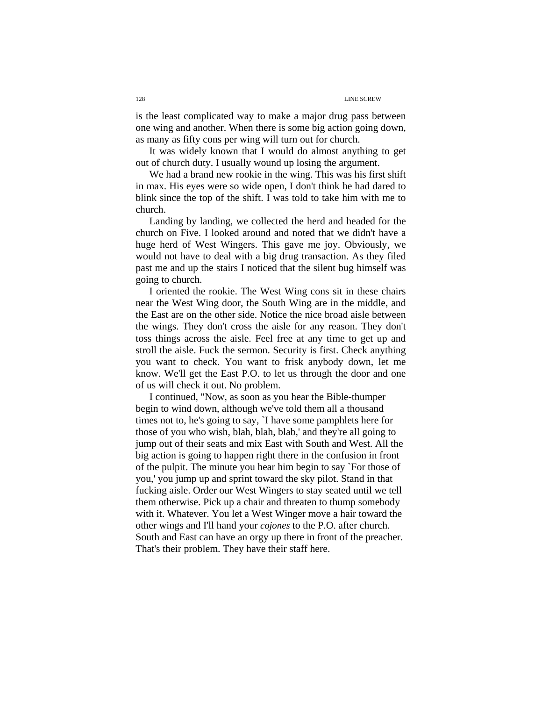is the least complicated way to make a major drug pass between one wing and another. When there is some big action going down, as many as fifty cons per wing will turn out for church.

It was widely known that I would do almost anything to get out of church duty. I usually wound up losing the argument.

We had a brand new rookie in the wing. This was his first shift in max. His eyes were so wide open, I don't think he had dared to blink since the top of the shift. I was told to take him with me to church.

Landing by landing, we collected the herd and headed for the church on Five. I looked around and noted that we didn't have a huge herd of West Wingers. This gave me joy. Obviously, we would not have to deal with a big drug transaction. As they filed past me and up the stairs I noticed that the silent bug himself was going to church.

I oriented the rookie. The West Wing cons sit in these chairs near the West Wing door, the South Wing are in the middle, and the East are on the other side. Notice the nice broad aisle between the wings. They don't cross the aisle for any reason. They don't toss things across the aisle. Feel free at any time to get up and stroll the aisle. Fuck the sermon. Security is first. Check anything you want to check. You want to frisk anybody down, let me know. We'll get the East P.O. to let us through the door and one of us will check it out. No problem.

 I continued, "Now, as soon as you hear the Bible-thumper begin to wind down, although we've told them all a thousand times not to, he's going to say, `I have some pamphlets here for those of you who wish, blah, blah, blab,' and they're all going to jump out of their seats and mix East with South and West. All the big action is going to happen right there in the confusion in front of the pulpit. The minute you hear him begin to say `For those of you,' you jump up and sprint toward the sky pilot. Stand in that fucking aisle. Order our West Wingers to stay seated until we tell them otherwise. Pick up a chair and threaten to thump somebody with it. Whatever. You let a West Winger move a hair toward the other wings and I'll hand your *cojones* to the P.O. after church. South and East can have an orgy up there in front of the preacher. That's their problem. They have their staff here.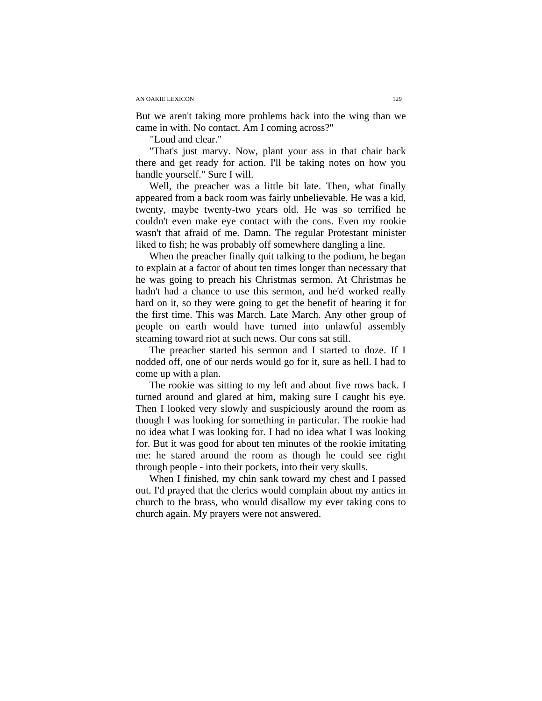### AN OAKIE LEXICON 129

But we aren't taking more problems back into the wing than we came in with. No contact. Am I coming across?"

"Loud and clear."

"That's just marvy. Now, plant your ass in that chair back there and get ready for action. I'll be taking notes on how you handle yourself." Sure I will.

Well, the preacher was a little bit late. Then, what finally appeared from a back room was fairly unbelievable. He was a kid, twenty, maybe twenty-two years old. He was so terrified he couldn't even make eye contact with the cons. Even my rookie wasn't that afraid of me. Damn. The regular Protestant minister liked to fish; he was probably off somewhere dangling a line.

When the preacher finally quit talking to the podium, he began to explain at a factor of about ten times longer than necessary that he was going to preach his Christmas sermon. At Christmas he hadn't had a chance to use this sermon, and he'd worked really hard on it, so they were going to get the benefit of hearing it for the first time. This was March. Late March. Any other group of people on earth would have turned into unlawful assembly steaming toward riot at such news. Our cons sat still.

The preacher started his sermon and I started to doze. If I nodded off, one of our nerds would go for it, sure as hell. I had to come up with a plan.

The rookie was sitting to my left and about five rows back. I turned around and glared at him, making sure I caught his eye. Then I looked very slowly and suspiciously around the room as though I was looking for something in particular. The rookie had no idea what I was looking for. I had no idea what I was looking for. But it was good for about ten minutes of the rookie imitating me: he stared around the room as though he could see right through people - into their pockets, into their very skulls.

When I finished, my chin sank toward my chest and I passed out. I'd prayed that the clerics would complain about my antics in church to the brass, who would disallow my ever taking cons to church again. My prayers were not answered.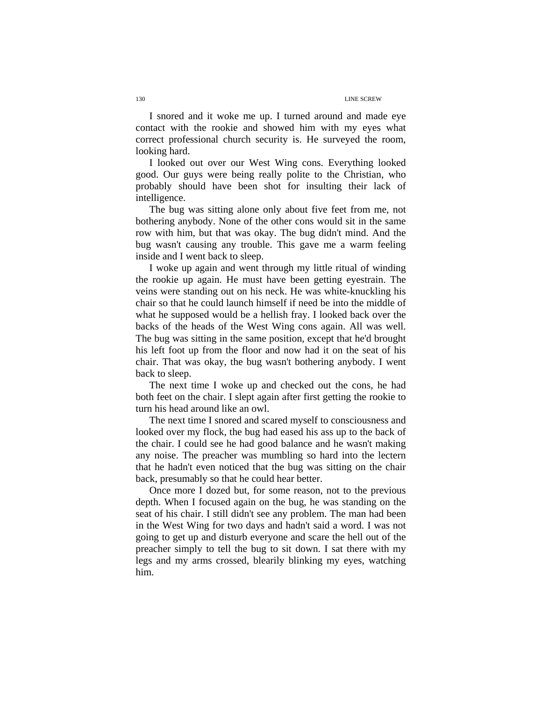I snored and it woke me up. I turned around and made eye contact with the rookie and showed him with my eyes what correct professional church security is. He surveyed the room, looking hard.

I looked out over our West Wing cons. Everything looked good. Our guys were being really polite to the Christian, who probably should have been shot for insulting their lack of intelligence.

The bug was sitting alone only about five feet from me, not bothering anybody. None of the other cons would sit in the same row with him, but that was okay. The bug didn't mind. And the bug wasn't causing any trouble. This gave me a warm feeling inside and I went back to sleep.

I woke up again and went through my little ritual of winding the rookie up again. He must have been getting eyestrain. The veins were standing out on his neck. He was white-knuckling his chair so that he could launch himself if need be into the middle of what he supposed would be a hellish fray. I looked back over the backs of the heads of the West Wing cons again. All was well. The bug was sitting in the same position, except that he'd brought his left foot up from the floor and now had it on the seat of his chair. That was okay, the bug wasn't bothering anybody. I went back to sleep.

The next time I woke up and checked out the cons, he had both feet on the chair. I slept again after first getting the rookie to turn his head around like an owl.

The next time I snored and scared myself to consciousness and looked over my flock, the bug had eased his ass up to the back of the chair. I could see he had good balance and he wasn't making any noise. The preacher was mumbling so hard into the lectern that he hadn't even noticed that the bug was sitting on the chair back, presumably so that he could hear better.

Once more I dozed but, for some reason, not to the previous depth. When I focused again on the bug, he was standing on the seat of his chair. I still didn't see any problem. The man had been in the West Wing for two days and hadn't said a word. I was not going to get up and disturb everyone and scare the hell out of the preacher simply to tell the bug to sit down. I sat there with my legs and my arms crossed, blearily blinking my eyes, watching him.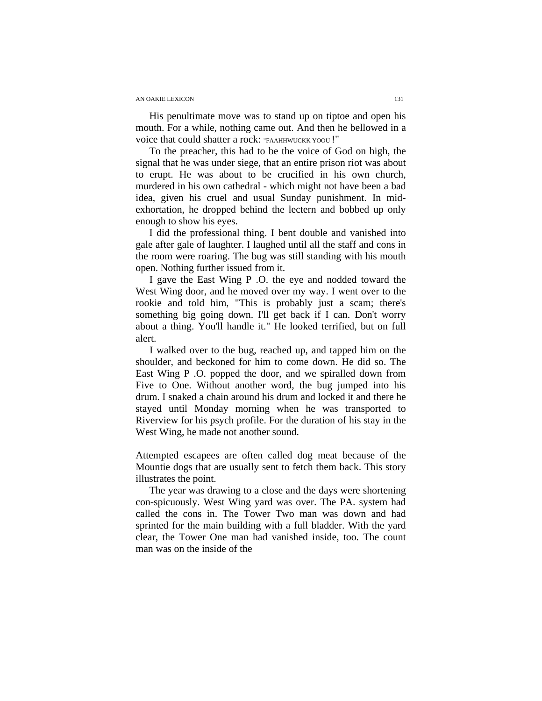### AN OAKIE LEXICON 131

His penultimate move was to stand up on tiptoe and open his mouth. For a while, nothing came out. And then he bellowed in a voice that could shatter a rock: "FAAHHWUCKK YOOU !"

To the preacher, this had to be the voice of God on high, the signal that he was under siege, that an entire prison riot was about to erupt. He was about to be crucified in his own church, murdered in his own cathedral - which might not have been a bad idea, given his cruel and usual Sunday punishment. In midexhortation, he dropped behind the lectern and bobbed up only enough to show his eyes.

I did the professional thing. I bent double and vanished into gale after gale of laughter. I laughed until all the staff and cons in the room were roaring. The bug was still standing with his mouth open. Nothing further issued from it.

 I gave the East Wing P .O. the eye and nodded toward the West Wing door, and he moved over my way. I went over to the rookie and told him, "This is probably just a scam; there's something big going down. I'll get back if I can. Don't worry about a thing. You'll handle it." He looked terrified, but on full alert.

 I walked over to the bug, reached up, and tapped him on the shoulder, and beckoned for him to come down. He did so. The East Wing P .O. popped the door, and we spiralled down from Five to One. Without another word, the bug jumped into his drum. I snaked a chain around his drum and locked it and there he stayed until Monday morning when he was transported to Riverview for his psych profile. For the duration of his stay in the West Wing, he made not another sound.

Attempted escapees are often called dog meat because of the Mountie dogs that are usually sent to fetch them back. This story illustrates the point.

The year was drawing to a close and the days were shortening con-spicuously. West Wing yard was over. The PA. system had called the cons in. The Tower Two man was down and had sprinted for the main building with a full bladder. With the yard clear, the Tower One man had vanished inside, too. The count man was on the inside of the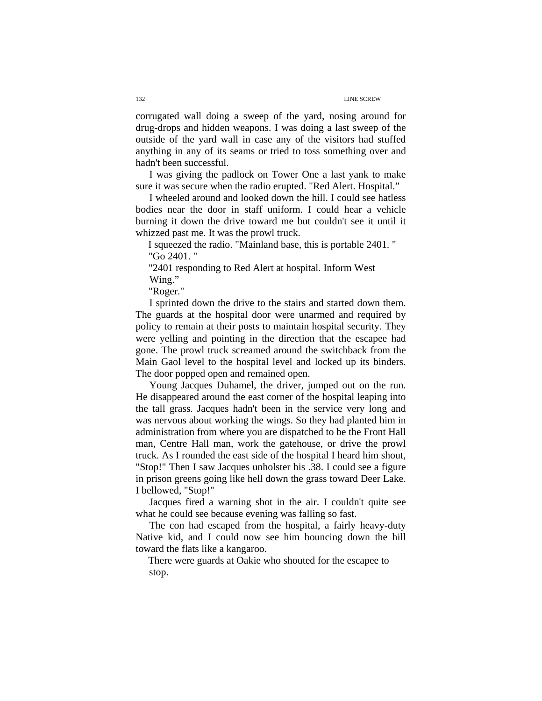corrugated wall doing a sweep of the yard, nosing around for drug-drops and hidden weapons. I was doing a last sweep of the outside of the yard wall in case any of the visitors had stuffed anything in any of its seams or tried to toss something over and hadn't been successful.

I was giving the padlock on Tower One a last yank to make sure it was secure when the radio erupted. "Red Alert. Hospital."

I wheeled around and looked down the hill. I could see hatless bodies near the door in staff uniform. I could hear a vehicle burning it down the drive toward me but couldn't see it until it whizzed past me. It was the prowl truck.

I squeezed the radio. "Mainland base, this is portable 2401. " "Go 2401. "

"2401 responding to Red Alert at hospital. Inform West Wing."

"Roger."

I sprinted down the drive to the stairs and started down them. The guards at the hospital door were unarmed and required by policy to remain at their posts to maintain hospital security. They were yelling and pointing in the direction that the escapee had gone. The prowl truck screamed around the switchback from the Main Gaol level to the hospital level and locked up its binders. The door popped open and remained open.

Young Jacques Duhamel, the driver, jumped out on the run. He disappeared around the east corner of the hospital leaping into the tall grass. Jacques hadn't been in the service very long and was nervous about working the wings. So they had planted him in administration from where you are dispatched to be the Front Hall man, Centre Hall man, work the gatehouse, or drive the prowl truck. As I rounded the east side of the hospital I heard him shout, "Stop!" Then I saw Jacques unholster his .38. I could see a figure in prison greens going like hell down the grass toward Deer Lake. I bellowed, "Stop!"

Jacques fired a warning shot in the air. I couldn't quite see what he could see because evening was falling so fast.

The con had escaped from the hospital, a fairly heavy-duty Native kid, and I could now see him bouncing down the hill toward the flats like a kangaroo.

There were guards at Oakie who shouted for the escapee to stop.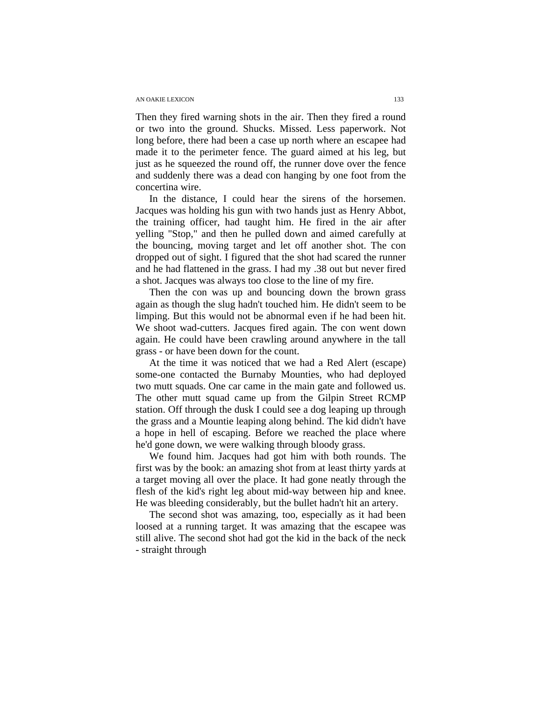### AN OAKIE LEXICON 133

Then they fired warning shots in the air. Then they fired a round or two into the ground. Shucks. Missed. Less paperwork. Not long before, there had been a case up north where an escapee had made it to the perimeter fence. The guard aimed at his leg, but just as he squeezed the round off, the runner dove over the fence and suddenly there was a dead con hanging by one foot from the concertina wire.

In the distance, I could hear the sirens of the horsemen. Jacques was holding his gun with two hands just as Henry Abbot, the training officer, had taught him. He fired in the air after yelling "Stop," and then he pulled down and aimed carefully at the bouncing, moving target and let off another shot. The con dropped out of sight. I figured that the shot had scared the runner and he had flattened in the grass. I had my .38 out but never fired a shot. Jacques was always too close to the line of my fire.

Then the con was up and bouncing down the brown grass again as though the slug hadn't touched him. He didn't seem to be limping. But this would not be abnormal even if he had been hit. We shoot wad-cutters. Jacques fired again. The con went down again. He could have been crawling around anywhere in the tall grass - or have been down for the count.

At the time it was noticed that we had a Red Alert (escape) some-one contacted the Burnaby Mounties, who had deployed two mutt squads. One car came in the main gate and followed us. The other mutt squad came up from the Gilpin Street RCMP station. Off through the dusk I could see a dog leaping up through the grass and a Mountie leaping along behind. The kid didn't have a hope in hell of escaping. Before we reached the place where he'd gone down, we were walking through bloody grass.

We found him. Jacques had got him with both rounds. The first was by the book: an amazing shot from at least thirty yards at a target moving all over the place. It had gone neatly through the flesh of the kid's right leg about mid-way between hip and knee. He was bleeding considerably, but the bullet hadn't hit an artery.

The second shot was amazing, too, especially as it had been loosed at a running target. It was amazing that the escapee was still alive. The second shot had got the kid in the back of the neck - straight through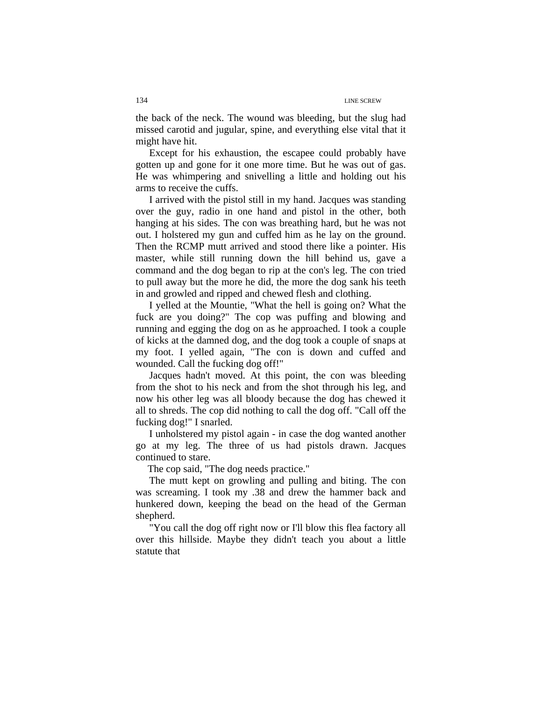the back of the neck. The wound was bleeding, but the slug had missed carotid and jugular, spine, and everything else vital that it might have hit.

Except for his exhaustion, the escapee could probably have gotten up and gone for it one more time. But he was out of gas. He was whimpering and snivelling a little and holding out his arms to receive the cuffs.

I arrived with the pistol still in my hand. Jacques was standing over the guy, radio in one hand and pistol in the other, both hanging at his sides. The con was breathing hard, but he was not out. I holstered my gun and cuffed him as he lay on the ground. Then the RCMP mutt arrived and stood there like a pointer. His master, while still running down the hill behind us, gave a command and the dog began to rip at the con's leg. The con tried to pull away but the more he did, the more the dog sank his teeth in and growled and ripped and chewed flesh and clothing.

I yelled at the Mountie, "What the hell is going on? What the fuck are you doing?" The cop was puffing and blowing and running and egging the dog on as he approached. I took a couple of kicks at the damned dog, and the dog took a couple of snaps at my foot. I yelled again, "The con is down and cuffed and wounded. Call the fucking dog off!"

Jacques hadn't moved. At this point, the con was bleeding from the shot to his neck and from the shot through his leg, and now his other leg was all bloody because the dog has chewed it all to shreds. The cop did nothing to call the dog off. "Call off the fucking dog!" I snarled.

I unholstered my pistol again - in case the dog wanted another go at my leg. The three of us had pistols drawn. Jacques continued to stare.

The cop said, "The dog needs practice."

The mutt kept on growling and pulling and biting. The con was screaming. I took my .38 and drew the hammer back and hunkered down, keeping the bead on the head of the German shepherd.

"You call the dog off right now or I'll blow this flea factory all over this hillside. Maybe they didn't teach you about a little statute that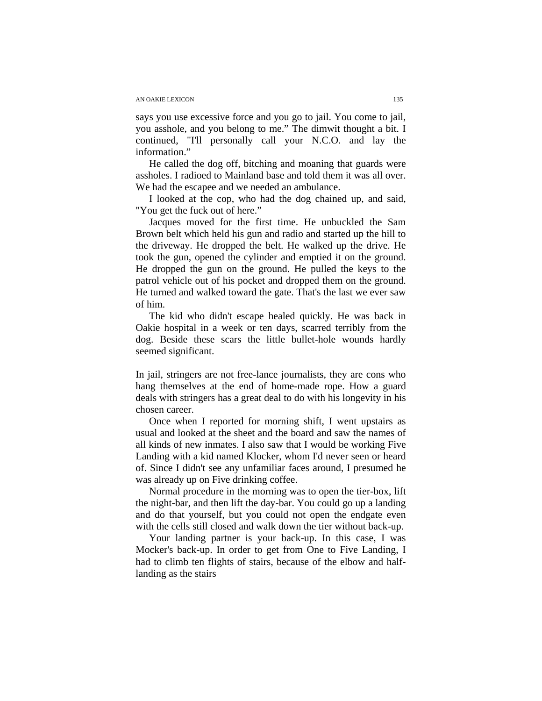says you use excessive force and you go to jail. You come to jail, you asshole, and you belong to me." The dimwit thought a bit. I continued, "I'll personally call your N.C.O. and lay the information."

He called the dog off, bitching and moaning that guards were assholes. I radioed to Mainland base and told them it was all over. We had the escapee and we needed an ambulance.

I looked at the cop, who had the dog chained up, and said, "You get the fuck out of here."

Jacques moved for the first time. He unbuckled the Sam Brown belt which held his gun and radio and started up the hill to the driveway. He dropped the belt. He walked up the drive. He took the gun, opened the cylinder and emptied it on the ground. He dropped the gun on the ground. He pulled the keys to the patrol vehicle out of his pocket and dropped them on the ground. He turned and walked toward the gate. That's the last we ever saw of him.

The kid who didn't escape healed quickly. He was back in Oakie hospital in a week or ten days, scarred terribly from the dog. Beside these scars the little bullet-hole wounds hardly seemed significant.

In jail, stringers are not free-lance journalists, they are cons who hang themselves at the end of home-made rope. How a guard deals with stringers has a great deal to do with his longevity in his chosen career.

Once when I reported for morning shift, I went upstairs as usual and looked at the sheet and the board and saw the names of all kinds of new inmates. I also saw that I would be working Five Landing with a kid named Klocker, whom I'd never seen or heard of. Since I didn't see any unfamiliar faces around, I presumed he was already up on Five drinking coffee.

Normal procedure in the morning was to open the tier-box, lift the night-bar, and then lift the day-bar. You could go up a landing and do that yourself, but you could not open the endgate even with the cells still closed and walk down the tier without back-up.

Your landing partner is your back-up. In this case, I was Mocker's back-up. In order to get from One to Five Landing, I had to climb ten flights of stairs, because of the elbow and halflanding as the stairs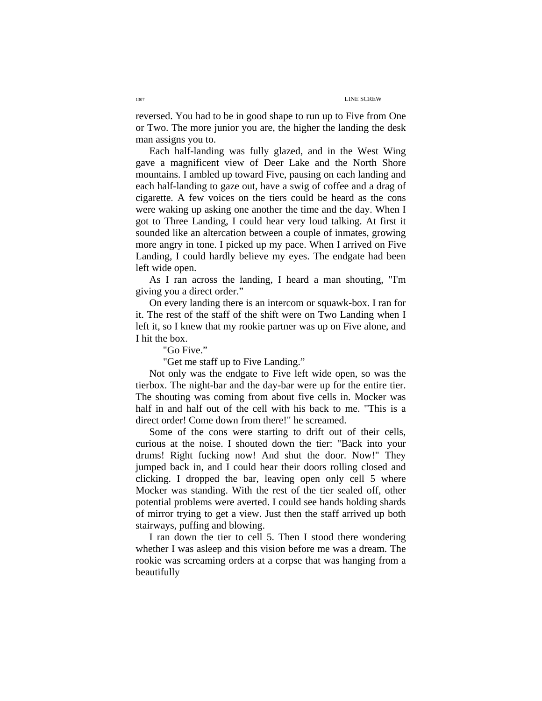reversed. You had to be in good shape to run up to Five from One or Two. The more junior you are, the higher the landing the desk man assigns you to.

Each half-landing was fully glazed, and in the West Wing gave a magnificent view of Deer Lake and the North Shore mountains. I ambled up toward Five, pausing on each landing and each half-landing to gaze out, have a swig of coffee and a drag of cigarette. A few voices on the tiers could be heard as the cons were waking up asking one another the time and the day. When I got to Three Landing, I could hear very loud talking. At first it sounded like an altercation between a couple of inmates, growing more angry in tone. I picked up my pace. When I arrived on Five Landing, I could hardly believe my eyes. The endgate had been left wide open.

As I ran across the landing, I heard a man shouting, "I'm giving you a direct order."

On every landing there is an intercom or squawk-box. I ran for it. The rest of the staff of the shift were on Two Landing when I left it, so I knew that my rookie partner was up on Five alone, and I hit the box.

"Go Five."

"Get me staff up to Five Landing."

Not only was the endgate to Five left wide open, so was the tierbox. The night-bar and the day-bar were up for the entire tier. The shouting was coming from about five cells in. Mocker was half in and half out of the cell with his back to me. "This is a direct order! Come down from there!" he screamed.

Some of the cons were starting to drift out of their cells, curious at the noise. I shouted down the tier: "Back into your drums! Right fucking now! And shut the door. Now!" They jumped back in, and I could hear their doors rolling closed and clicking. I dropped the bar, leaving open only cell 5 where Mocker was standing. With the rest of the tier sealed off, other potential problems were averted. I could see hands holding shards of mirror trying to get a view. Just then the staff arrived up both stairways, puffing and blowing.

I ran down the tier to cell 5. Then I stood there wondering whether I was asleep and this vision before me was a dream. The rookie was screaming orders at a corpse that was hanging from a beautifully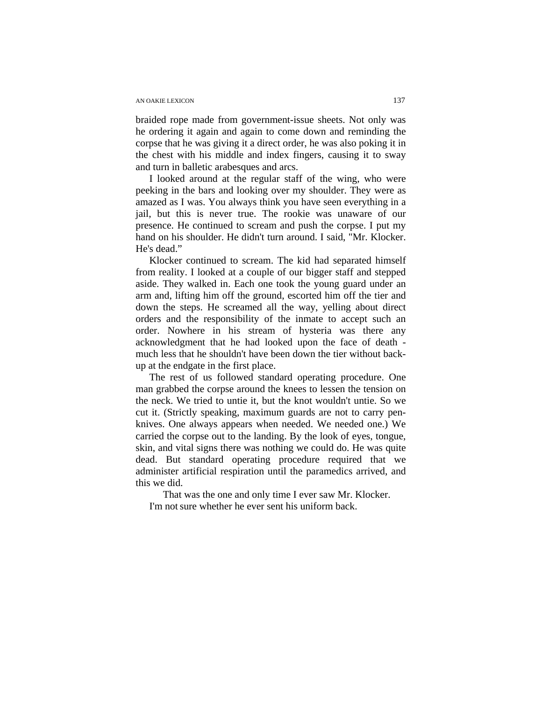### AN OAKIE LEXICON 137

braided rope made from government-issue sheets. Not only was he ordering it again and again to come down and reminding the corpse that he was giving it a direct order, he was also poking it in the chest with his middle and index fingers, causing it to sway and turn in balletic arabesques and arcs.

I looked around at the regular staff of the wing, who were peeking in the bars and looking over my shoulder. They were as amazed as I was. You always think you have seen everything in a jail, but this is never true. The rookie was unaware of our presence. He continued to scream and push the corpse. I put my hand on his shoulder. He didn't turn around. I said, "Mr. Klocker. He's dead."

Klocker continued to scream. The kid had separated himself from reality. I looked at a couple of our bigger staff and stepped aside. They walked in. Each one took the young guard under an arm and, lifting him off the ground, escorted him off the tier and down the steps. He screamed all the way, yelling about direct orders and the responsibility of the inmate to accept such an order. Nowhere in his stream of hysteria was there any acknowledgment that he had looked upon the face of death much less that he shouldn't have been down the tier without backup at the endgate in the first place.

The rest of us followed standard operating procedure. One man grabbed the corpse around the knees to lessen the tension on the neck. We tried to untie it, but the knot wouldn't untie. So we cut it. (Strictly speaking, maximum guards are not to carry penknives. One always appears when needed. We needed one.) We carried the corpse out to the landing. By the look of eyes, tongue, skin, and vital signs there was nothing we could do. He was quite dead. But standard operating procedure required that we administer artificial respiration until the paramedics arrived, and this we did.

That was the one and only time I ever saw Mr. Klocker. I'm not sure whether he ever sent his uniform back.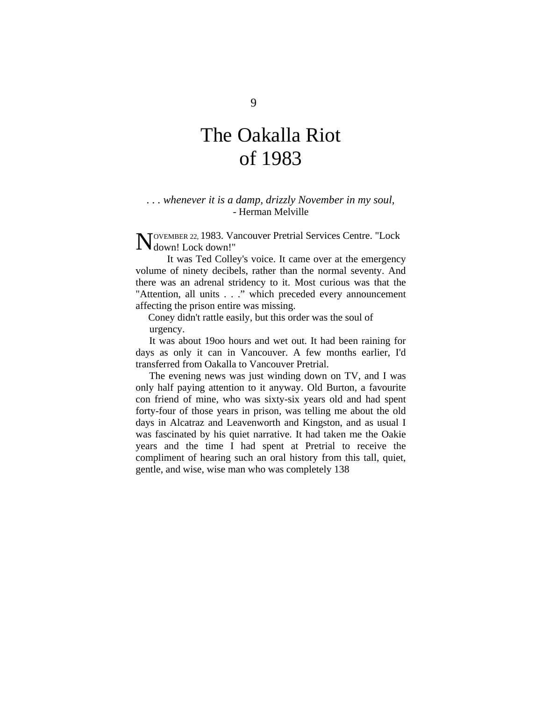# The Oakalla Riot of 1983

### *. . . whenever it is a damp, drizzly November in my soul,*  - Herman Melville

OVEMBER 22, 1983. Vancouver Pretrial Services Centre. "Lock NOVEMBER 22, 1983. Va<br>
Mdown! Lock down!"

It was Ted Colley's voice. It came over at the emergency volume of ninety decibels, rather than the normal seventy. And there was an adrenal stridency to it. Most curious was that the "Attention, all units . . ." which preceded every announcement affecting the prison entire was missing.

Coney didn't rattle easily, but this order was the soul of urgency.

It was about 19oo hours and wet out. It had been raining for days as only it can in Vancouver. A few months earlier, I'd transferred from Oakalla to Vancouver Pretrial.

The evening news was just winding down on TV, and I was only half paying attention to it anyway. Old Burton, a favourite con friend of mine, who was sixty-six years old and had spent forty-four of those years in prison, was telling me about the old days in Alcatraz and Leavenworth and Kingston, and as usual I was fascinated by his quiet narrative. It had taken me the Oakie years and the time I had spent at Pretrial to receive the compliment of hearing such an oral history from this tall, quiet, gentle, and wise, wise man who was completely 138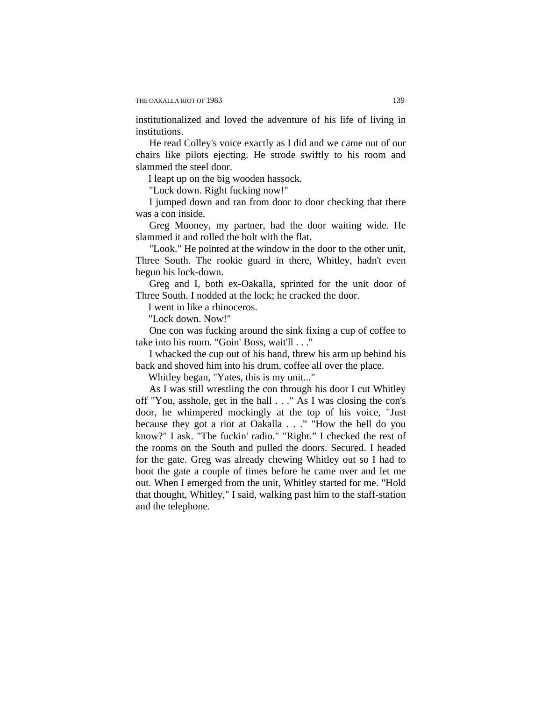institutionalized and loved the adventure of his life of living in institutions.

He read Colley's voice exactly as I did and we came out of our chairs like pilots ejecting. He strode swiftly to his room and slammed the steel door.

I leapt up on the big wooden hassock.

"Lock down. Right fucking now!"

I jumped down and ran from door to door checking that there was a con inside.

Greg Mooney, my partner, had the door waiting wide. He slammed it and rolled the bolt with the flat.

"Look." He pointed at the window in the door to the other unit, Three South. The rookie guard in there, Whitley, hadn't even begun his lock-down.

Greg and I, both ex-Oakalla, sprinted for the unit door of Three South. I nodded at the lock; he cracked the door.

I went in like a rhinoceros.

"Lock down. Now!"

One con was fucking around the sink fixing a cup of coffee to take into his room. "Goin' Boss, wait'll . . ."

I whacked the cup out of his hand, threw his arm up behind his back and shoved him into his drum, coffee all over the place.

Whitley began, "Yates, this is my unit..."

As I was still wrestling the con through his door I cut Whitley off "You, asshole, get in the hall . . ." As I was closing the con's door, he whimpered mockingly at the top of his voice, "Just because they got a riot at Oakalla . . ." "How the hell do you know?" I ask. "The fuckin' radio." "Right." I checked the rest of the rooms on the South and pulled the doors. Secured. I headed for the gate. Greg was already chewing Whitley out so I had to boot the gate a couple of times before he came over and let me out. When I emerged from the unit, Whitley started for me. "Hold that thought, Whitley," I said, walking past him to the staff-station and the telephone.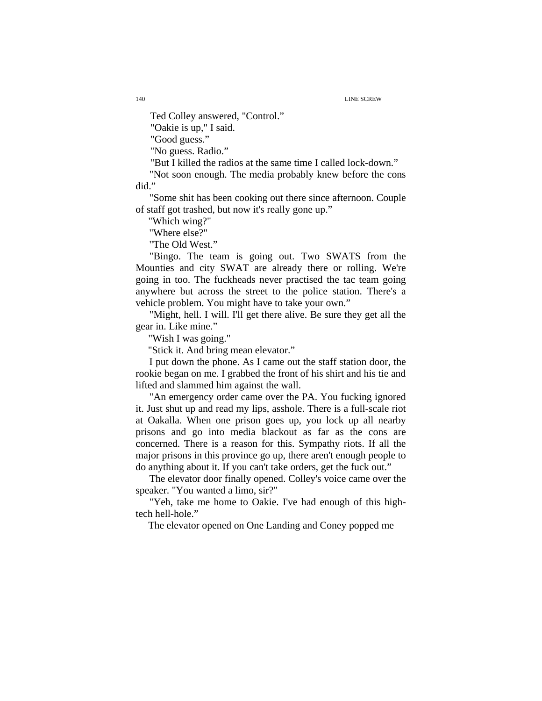Ted Colley answered, "Control."

"Oakie is up," I said.

"Good guess."

"No guess. Radio."

"But I killed the radios at the same time I called lock-down."

"Not soon enough. The media probably knew before the cons did."

"Some shit has been cooking out there since afternoon. Couple of staff got trashed, but now it's really gone up."

"Which wing?"

"Where else?"

"The Old West."

"Bingo. The team is going out. Two SWATS from the Mounties and city SWAT are already there or rolling. We're going in too. The fuckheads never practised the tac team going anywhere but across the street to the police station. There's a vehicle problem. You might have to take your own."

"Might, hell. I will. I'll get there alive. Be sure they get all the gear in. Like mine."

"Wish I was going."

"Stick it. And bring mean elevator."

I put down the phone. As I came out the staff station door, the rookie began on me. I grabbed the front of his shirt and his tie and lifted and slammed him against the wall.

"An emergency order came over the PA. You fucking ignored it. Just shut up and read my lips, asshole. There is a full-scale riot at Oakalla. When one prison goes up, you lock up all nearby prisons and go into media blackout as far as the cons are concerned. There is a reason for this. Sympathy riots. If all the major prisons in this province go up, there aren't enough people to do anything about it. If you can't take orders, get the fuck out."

The elevator door finally opened. Colley's voice came over the speaker. "You wanted a limo, sir?"

"Yeh, take me home to Oakie. I've had enough of this hightech hell-hole."

The elevator opened on One Landing and Coney popped me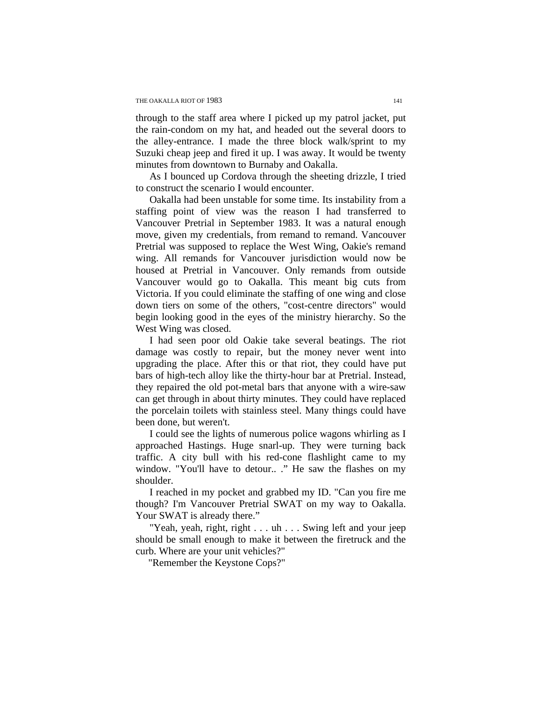through to the staff area where I picked up my patrol jacket, put the rain-condom on my hat, and headed out the several doors to the alley-entrance. I made the three block walk/sprint to my Suzuki cheap jeep and fired it up. I was away. It would be twenty minutes from downtown to Burnaby and Oakalla.

As I bounced up Cordova through the sheeting drizzle, I tried to construct the scenario I would encounter.

Oakalla had been unstable for some time. Its instability from a staffing point of view was the reason I had transferred to Vancouver Pretrial in September 1983. It was a natural enough move, given my credentials, from remand to remand. Vancouver Pretrial was supposed to replace the West Wing, Oakie's remand wing. All remands for Vancouver jurisdiction would now be housed at Pretrial in Vancouver. Only remands from outside Vancouver would go to Oakalla. This meant big cuts from Victoria. If you could eliminate the staffing of one wing and close down tiers on some of the others, "cost-centre directors" would begin looking good in the eyes of the ministry hierarchy. So the West Wing was closed.

I had seen poor old Oakie take several beatings. The riot damage was costly to repair, but the money never went into upgrading the place. After this or that riot, they could have put bars of high-tech alloy like the thirty-hour bar at Pretrial. Instead, they repaired the old pot-metal bars that anyone with a wire-saw can get through in about thirty minutes. They could have replaced the porcelain toilets with stainless steel. Many things could have been done, but weren't.

I could see the lights of numerous police wagons whirling as I approached Hastings. Huge snarl-up. They were turning back traffic. A city bull with his red-cone flashlight came to my window. "You'll have to detour.. ." He saw the flashes on my shoulder.

I reached in my pocket and grabbed my ID. "Can you fire me though? I'm Vancouver Pretrial SWAT on my way to Oakalla. Your SWAT is already there."

"Yeah, yeah, right, right . . . uh . . . Swing left and your jeep should be small enough to make it between the firetruck and the curb. Where are your unit vehicles?"

"Remember the Keystone Cops?"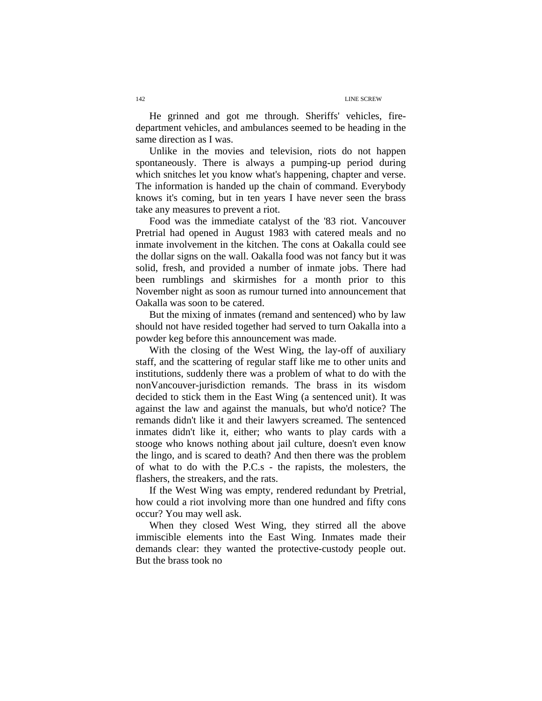He grinned and got me through. Sheriffs' vehicles, firedepartment vehicles, and ambulances seemed to be heading in the same direction as I was.

Unlike in the movies and television, riots do not happen spontaneously. There is always a pumping-up period during which snitches let you know what's happening, chapter and verse. The information is handed up the chain of command. Everybody knows it's coming, but in ten years I have never seen the brass take any measures to prevent a riot.

Food was the immediate catalyst of the '83 riot. Vancouver Pretrial had opened in August 1983 with catered meals and no inmate involvement in the kitchen. The cons at Oakalla could see the dollar signs on the wall. Oakalla food was not fancy but it was solid, fresh, and provided a number of inmate jobs. There had been rumblings and skirmishes for a month prior to this November night as soon as rumour turned into announcement that Oakalla was soon to be catered.

But the mixing of inmates (remand and sentenced) who by law should not have resided together had served to turn Oakalla into a powder keg before this announcement was made.

With the closing of the West Wing, the lay-off of auxiliary staff, and the scattering of regular staff like me to other units and institutions, suddenly there was a problem of what to do with the nonVancouver-jurisdiction remands. The brass in its wisdom decided to stick them in the East Wing (a sentenced unit). It was against the law and against the manuals, but who'd notice? The remands didn't like it and their lawyers screamed. The sentenced inmates didn't like it, either; who wants to play cards with a stooge who knows nothing about jail culture, doesn't even know the lingo, and is scared to death? And then there was the problem of what to do with the P.C.s - the rapists, the molesters, the flashers, the streakers, and the rats.

If the West Wing was empty, rendered redundant by Pretrial, how could a riot involving more than one hundred and fifty cons occur? You may well ask.

When they closed West Wing, they stirred all the above immiscible elements into the East Wing. Inmates made their demands clear: they wanted the protective-custody people out. But the brass took no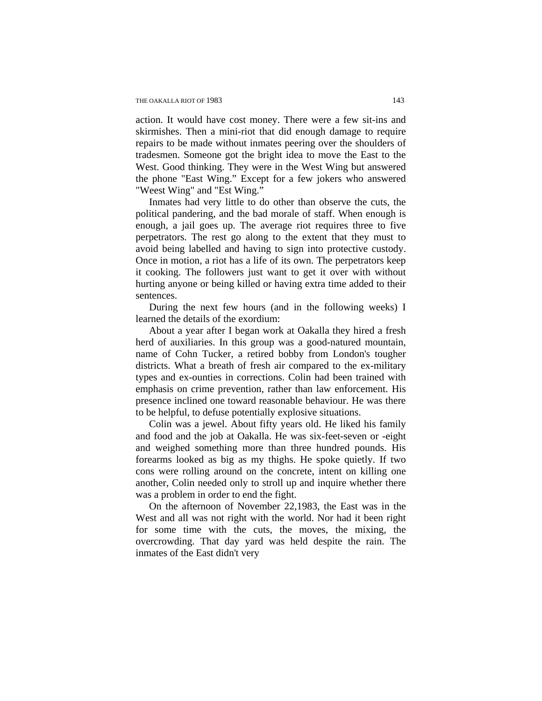action. It would have cost money. There were a few sit-ins and skirmishes. Then a mini-riot that did enough damage to require repairs to be made without inmates peering over the shoulders of tradesmen. Someone got the bright idea to move the East to the West. Good thinking. They were in the West Wing but answered the phone "East Wing." Except for a few jokers who answered "Weest Wing" and "Est Wing."

Inmates had very little to do other than observe the cuts, the political pandering, and the bad morale of staff. When enough is enough, a jail goes up. The average riot requires three to five perpetrators. The rest go along to the extent that they must to avoid being labelled and having to sign into protective custody. Once in motion, a riot has a life of its own. The perpetrators keep it cooking. The followers just want to get it over with without hurting anyone or being killed or having extra time added to their sentences.

During the next few hours (and in the following weeks) I learned the details of the exordium:

About a year after I began work at Oakalla they hired a fresh herd of auxiliaries. In this group was a good-natured mountain, name of Cohn Tucker, a retired bobby from London's tougher districts. What a breath of fresh air compared to the ex-military types and ex-ounties in corrections. Colin had been trained with emphasis on crime prevention, rather than law enforcement. His presence inclined one toward reasonable behaviour. He was there to be helpful, to defuse potentially explosive situations.

Colin was a jewel. About fifty years old. He liked his family and food and the job at Oakalla. He was six-feet-seven or -eight and weighed something more than three hundred pounds. His forearms looked as big as my thighs. He spoke quietly. If two cons were rolling around on the concrete, intent on killing one another, Colin needed only to stroll up and inquire whether there was a problem in order to end the fight.

On the afternoon of November 22,1983, the East was in the West and all was not right with the world. Nor had it been right for some time with the cuts, the moves, the mixing, the overcrowding. That day yard was held despite the rain. The inmates of the East didn't very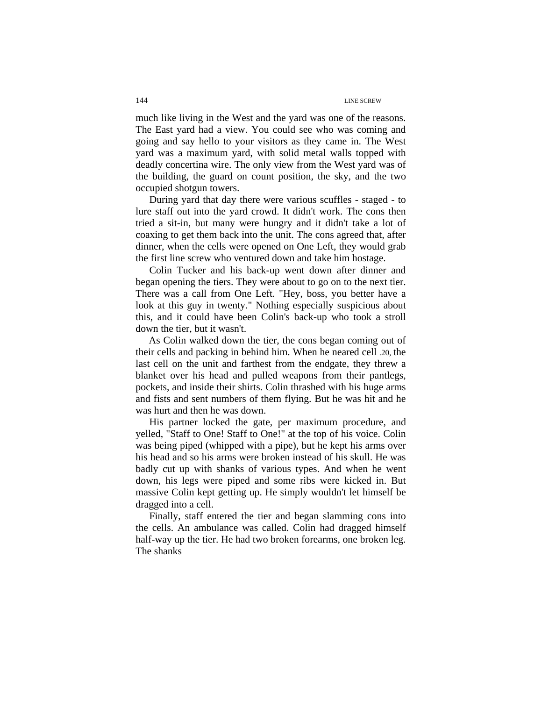much like living in the West and the yard was one of the reasons. The East yard had a view. You could see who was coming and going and say hello to your visitors as they came in. The West yard was a maximum yard, with solid metal walls topped with deadly concertina wire. The only view from the West yard was of the building, the guard on count position, the sky, and the two occupied shotgun towers.

During yard that day there were various scuffles - staged - to lure staff out into the yard crowd. It didn't work. The cons then tried a sit-in, but many were hungry and it didn't take a lot of coaxing to get them back into the unit. The cons agreed that, after dinner, when the cells were opened on One Left, they would grab the first line screw who ventured down and take him hostage.

Colin Tucker and his back-up went down after dinner and began opening the tiers. They were about to go on to the next tier. There was a call from One Left. "Hey, boss, you better have a look at this guy in twenty." Nothing especially suspicious about this, and it could have been Colin's back-up who took a stroll down the tier, but it wasn't.

 As Colin walked down the tier, the cons began coming out of their cells and packing in behind him. When he neared cell .20, the last cell on the unit and farthest from the endgate, they threw a blanket over his head and pulled weapons from their pantlegs, pockets, and inside their shirts. Colin thrashed with his huge arms and fists and sent numbers of them flying. But he was hit and he was hurt and then he was down.

His partner locked the gate, per maximum procedure, and yelled, "Staff to One! Staff to One!" at the top of his voice. Colin was being piped (whipped with a pipe), but he kept his arms over his head and so his arms were broken instead of his skull. He was badly cut up with shanks of various types. And when he went down, his legs were piped and some ribs were kicked in. But massive Colin kept getting up. He simply wouldn't let himself be dragged into a cell.

Finally, staff entered the tier and began slamming cons into the cells. An ambulance was called. Colin had dragged himself half-way up the tier. He had two broken forearms, one broken leg. The shanks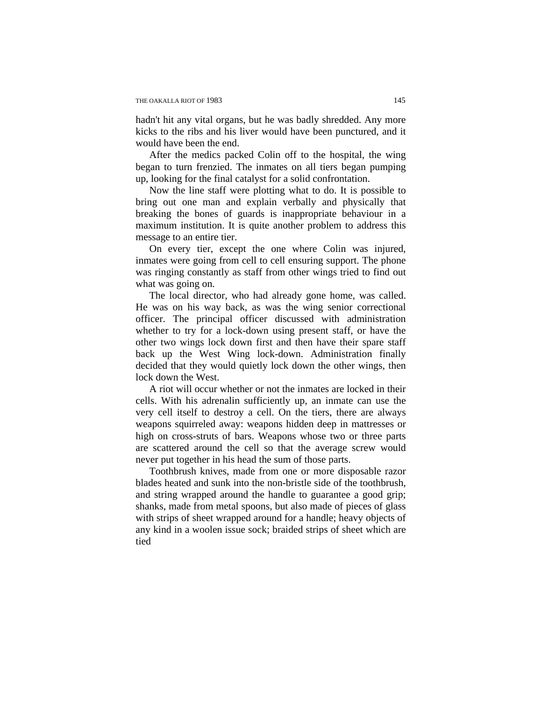hadn't hit any vital organs, but he was badly shredded. Any more kicks to the ribs and his liver would have been punctured, and it would have been the end.

After the medics packed Colin off to the hospital, the wing began to turn frenzied. The inmates on all tiers began pumping up, looking for the final catalyst for a solid confrontation.

Now the line staff were plotting what to do. It is possible to bring out one man and explain verbally and physically that breaking the bones of guards is inappropriate behaviour in a maximum institution. It is quite another problem to address this message to an entire tier.

On every tier, except the one where Colin was injured, inmates were going from cell to cell ensuring support. The phone was ringing constantly as staff from other wings tried to find out what was going on.

The local director, who had already gone home, was called. He was on his way back, as was the wing senior correctional officer. The principal officer discussed with administration whether to try for a lock-down using present staff, or have the other two wings lock down first and then have their spare staff back up the West Wing lock-down. Administration finally decided that they would quietly lock down the other wings, then lock down the West.

A riot will occur whether or not the inmates are locked in their cells. With his adrenalin sufficiently up, an inmate can use the very cell itself to destroy a cell. On the tiers, there are always weapons squirreled away: weapons hidden deep in mattresses or high on cross-struts of bars. Weapons whose two or three parts are scattered around the cell so that the average screw would never put together in his head the sum of those parts.

Toothbrush knives, made from one or more disposable razor blades heated and sunk into the non-bristle side of the toothbrush, and string wrapped around the handle to guarantee a good grip; shanks, made from metal spoons, but also made of pieces of glass with strips of sheet wrapped around for a handle; heavy objects of any kind in a woolen issue sock; braided strips of sheet which are tied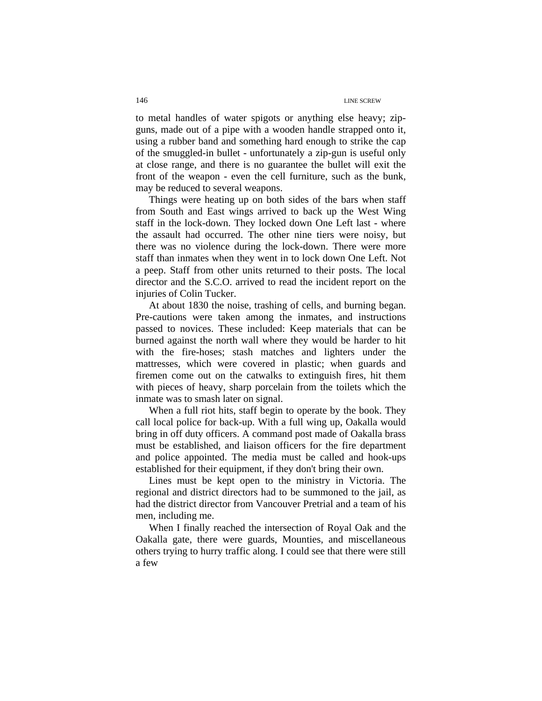to metal handles of water spigots or anything else heavy; zipguns, made out of a pipe with a wooden handle strapped onto it, using a rubber band and something hard enough to strike the cap of the smuggled-in bullet - unfortunately a zip-gun is useful only at close range, and there is no guarantee the bullet will exit the front of the weapon - even the cell furniture, such as the bunk, may be reduced to several weapons.

Things were heating up on both sides of the bars when staff from South and East wings arrived to back up the West Wing staff in the lock-down. They locked down One Left last - where the assault had occurred. The other nine tiers were noisy, but there was no violence during the lock-down. There were more staff than inmates when they went in to lock down One Left. Not a peep. Staff from other units returned to their posts. The local director and the S.C.O. arrived to read the incident report on the injuries of Colin Tucker.

At about 1830 the noise, trashing of cells, and burning began. Pre-cautions were taken among the inmates, and instructions passed to novices. These included: Keep materials that can be burned against the north wall where they would be harder to hit with the fire-hoses; stash matches and lighters under the mattresses, which were covered in plastic; when guards and firemen come out on the catwalks to extinguish fires, hit them with pieces of heavy, sharp porcelain from the toilets which the inmate was to smash later on signal.

When a full riot hits, staff begin to operate by the book. They call local police for back-up. With a full wing up, Oakalla would bring in off duty officers. A command post made of Oakalla brass must be established, and liaison officers for the fire department and police appointed. The media must be called and hook-ups established for their equipment, if they don't bring their own.

Lines must be kept open to the ministry in Victoria. The regional and district directors had to be summoned to the jail, as had the district director from Vancouver Pretrial and a team of his men, including me.

When I finally reached the intersection of Royal Oak and the Oakalla gate, there were guards, Mounties, and miscellaneous others trying to hurry traffic along. I could see that there were still a few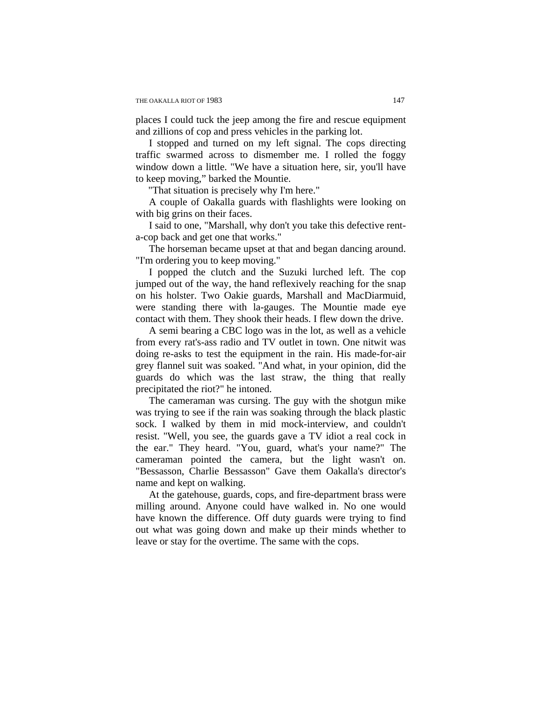places I could tuck the jeep among the fire and rescue equipment and zillions of cop and press vehicles in the parking lot.

I stopped and turned on my left signal. The cops directing traffic swarmed across to dismember me. I rolled the foggy window down a little. "We have a situation here, sir, you'll have to keep moving," barked the Mountie.

"That situation is precisely why I'm here."

A couple of Oakalla guards with flashlights were looking on with big grins on their faces.

I said to one, "Marshall, why don't you take this defective renta-cop back and get one that works."

The horseman became upset at that and began dancing around. "I'm ordering you to keep moving."

I popped the clutch and the Suzuki lurched left. The cop jumped out of the way, the hand reflexively reaching for the snap on his holster. Two Oakie guards, Marshall and MacDiarmuid, were standing there with la-gauges. The Mountie made eye contact with them. They shook their heads. I flew down the drive.

A semi bearing a CBC logo was in the lot, as well as a vehicle from every rat's-ass radio and TV outlet in town. One nitwit was doing re-asks to test the equipment in the rain. His made-for-air grey flannel suit was soaked. "And what, in your opinion, did the guards do which was the last straw, the thing that really precipitated the riot?" he intoned.

The cameraman was cursing. The guy with the shotgun mike was trying to see if the rain was soaking through the black plastic sock. I walked by them in mid mock-interview, and couldn't resist. "Well, you see, the guards gave a TV idiot a real cock in the ear." They heard. "You, guard, what's your name?" The cameraman pointed the camera, but the light wasn't on. "Bessasson, Charlie Bessasson" Gave them Oakalla's director's name and kept on walking.

At the gatehouse, guards, cops, and fire-department brass were milling around. Anyone could have walked in. No one would have known the difference. Off duty guards were trying to find out what was going down and make up their minds whether to leave or stay for the overtime. The same with the cops.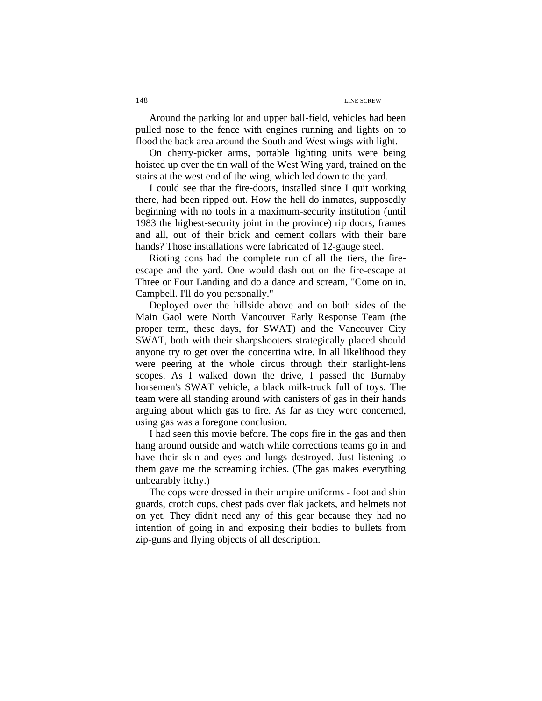Around the parking lot and upper ball-field, vehicles had been pulled nose to the fence with engines running and lights on to flood the back area around the South and West wings with light.

On cherry-picker arms, portable lighting units were being hoisted up over the tin wall of the West Wing yard, trained on the stairs at the west end of the wing, which led down to the yard.

I could see that the fire-doors, installed since I quit working there, had been ripped out. How the hell do inmates, supposedly beginning with no tools in a maximum-security institution (until 1983 the highest-security joint in the province) rip doors, frames and all, out of their brick and cement collars with their bare hands? Those installations were fabricated of 12-gauge steel.

Rioting cons had the complete run of all the tiers, the fireescape and the yard. One would dash out on the fire-escape at Three or Four Landing and do a dance and scream, "Come on in, Campbell. I'll do you personally."

Deployed over the hillside above and on both sides of the Main Gaol were North Vancouver Early Response Team (the proper term, these days, for SWAT) and the Vancouver City SWAT, both with their sharpshooters strategically placed should anyone try to get over the concertina wire. In all likelihood they were peering at the whole circus through their starlight-lens scopes. As I walked down the drive, I passed the Burnaby horsemen's SWAT vehicle, a black milk-truck full of toys. The team were all standing around with canisters of gas in their hands arguing about which gas to fire. As far as they were concerned, using gas was a foregone conclusion.

I had seen this movie before. The cops fire in the gas and then hang around outside and watch while corrections teams go in and have their skin and eyes and lungs destroyed. Just listening to them gave me the screaming itchies. (The gas makes everything unbearably itchy.)

The cops were dressed in their umpire uniforms - foot and shin guards, crotch cups, chest pads over flak jackets, and helmets not on yet. They didn't need any of this gear because they had no intention of going in and exposing their bodies to bullets from zip-guns and flying objects of all description.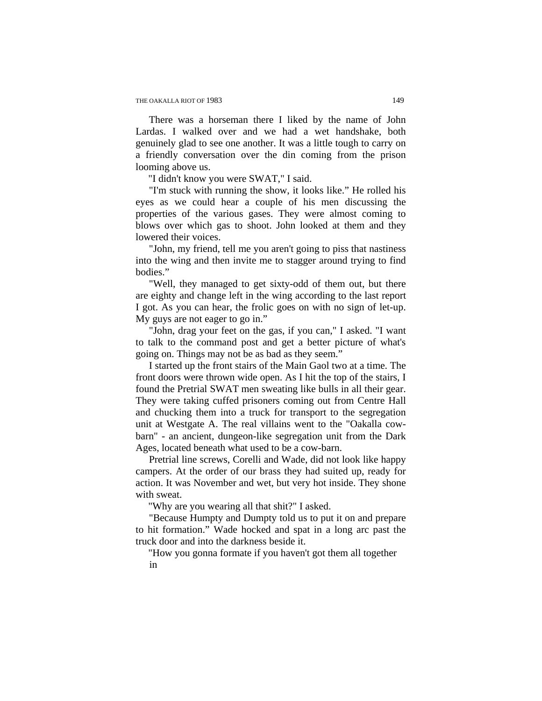There was a horseman there I liked by the name of John Lardas. I walked over and we had a wet handshake, both genuinely glad to see one another. It was a little tough to carry on a friendly conversation over the din coming from the prison looming above us.

"I didn't know you were SWAT," I said.

"I'm stuck with running the show, it looks like." He rolled his eyes as we could hear a couple of his men discussing the properties of the various gases. They were almost coming to blows over which gas to shoot. John looked at them and they lowered their voices.

"John, my friend, tell me you aren't going to piss that nastiness into the wing and then invite me to stagger around trying to find bodies."

"Well, they managed to get sixty-odd of them out, but there are eighty and change left in the wing according to the last report I got. As you can hear, the frolic goes on with no sign of let-up. My guys are not eager to go in."

"John, drag your feet on the gas, if you can," I asked. "I want to talk to the command post and get a better picture of what's going on. Things may not be as bad as they seem."

I started up the front stairs of the Main Gaol two at a time. The front doors were thrown wide open. As I hit the top of the stairs, I found the Pretrial SWAT men sweating like bulls in all their gear. They were taking cuffed prisoners coming out from Centre Hall and chucking them into a truck for transport to the segregation unit at Westgate A. The real villains went to the "Oakalla cowbarn" - an ancient, dungeon-like segregation unit from the Dark Ages, located beneath what used to be a cow-barn.

Pretrial line screws, Corelli and Wade, did not look like happy campers. At the order of our brass they had suited up, ready for action. It was November and wet, but very hot inside. They shone with sweat.

"Why are you wearing all that shit?" I asked.

"Because Humpty and Dumpty told us to put it on and prepare to hit formation." Wade hocked and spat in a long arc past the truck door and into the darkness beside it.

"How you gonna formate if you haven't got them all together in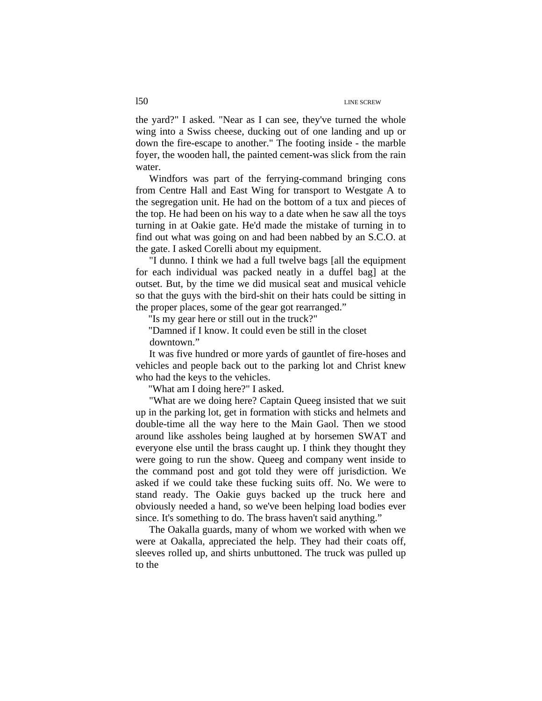the yard?" I asked. "Near as I can see, they've turned the whole wing into a Swiss cheese, ducking out of one landing and up or down the fire-escape to another." The footing inside - the marble foyer, the wooden hall, the painted cement-was slick from the rain water.

Windfors was part of the ferrying-command bringing cons from Centre Hall and East Wing for transport to Westgate A to the segregation unit. He had on the bottom of a tux and pieces of the top. He had been on his way to a date when he saw all the toys turning in at Oakie gate. He'd made the mistake of turning in to find out what was going on and had been nabbed by an S.C.O. at the gate. I asked Corelli about my equipment.

"I dunno. I think we had a full twelve bags [all the equipment for each individual was packed neatly in a duffel bag] at the outset. But, by the time we did musical seat and musical vehicle so that the guys with the bird-shit on their hats could be sitting in the proper places, some of the gear got rearranged."

"Is my gear here or still out in the truck?"

"Damned if I know. It could even be still in the closet downtown."

It was five hundred or more yards of gauntlet of fire-hoses and vehicles and people back out to the parking lot and Christ knew who had the keys to the vehicles.

"What am I doing here?" I asked.

"What are we doing here? Captain Queeg insisted that we suit up in the parking lot, get in formation with sticks and helmets and double-time all the way here to the Main Gaol. Then we stood around like assholes being laughed at by horsemen SWAT and everyone else until the brass caught up. I think they thought they were going to run the show. Queeg and company went inside to the command post and got told they were off jurisdiction. We asked if we could take these fucking suits off. No. We were to stand ready. The Oakie guys backed up the truck here and obviously needed a hand, so we've been helping load bodies ever since. It's something to do. The brass haven't said anything."

The Oakalla guards, many of whom we worked with when we were at Oakalla, appreciated the help. They had their coats off, sleeves rolled up, and shirts unbuttoned. The truck was pulled up to the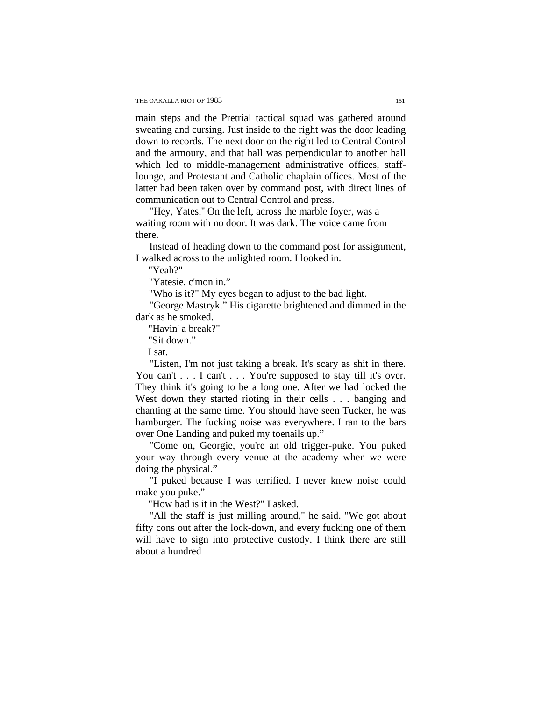main steps and the Pretrial tactical squad was gathered around sweating and cursing. Just inside to the right was the door leading down to records. The next door on the right led to Central Control and the armoury, and that hall was perpendicular to another hall which led to middle-management administrative offices, stafflounge, and Protestant and Catholic chaplain offices. Most of the latter had been taken over by command post, with direct lines of communication out to Central Control and press.

"Hey, Yates.'' On the left, across the marble foyer, was a waiting room with no door. It was dark. The voice came from there.

Instead of heading down to the command post for assignment, I walked across to the unlighted room. I looked in.

"Yeah?"

"Yatesie, c'mon in."

"Who is it?" My eyes began to adjust to the bad light.

"George Mastryk." His cigarette brightened and dimmed in the dark as he smoked.

"Havin' a break?"

"Sit down."

I sat.

"Listen, I'm not just taking a break. It's scary as shit in there. You can't . . . I can't . . . You're supposed to stay till it's over. They think it's going to be a long one. After we had locked the West down they started rioting in their cells . . . banging and chanting at the same time. You should have seen Tucker, he was hamburger. The fucking noise was everywhere. I ran to the bars over One Landing and puked my toenails up."

"Come on, Georgie, you're an old trigger-puke. You puked your way through every venue at the academy when we were doing the physical."

"I puked because I was terrified. I never knew noise could make you puke."

"How bad is it in the West?" I asked.

"All the staff is just milling around," he said. "We got about fifty cons out after the lock-down, and every fucking one of them will have to sign into protective custody. I think there are still about a hundred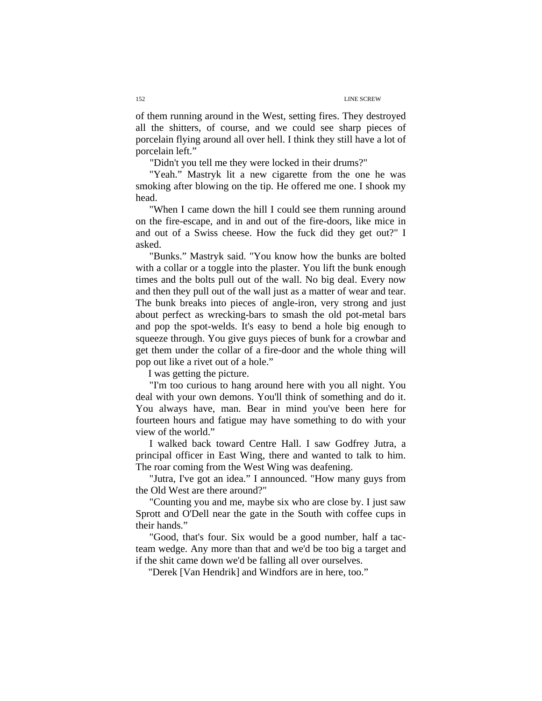of them running around in the West, setting fires. They destroyed all the shitters, of course, and we could see sharp pieces of porcelain flying around all over hell. I think they still have a lot of porcelain left."

"Didn't you tell me they were locked in their drums?"

"Yeah." Mastryk lit a new cigarette from the one he was smoking after blowing on the tip. He offered me one. I shook my head.

"When I came down the hill I could see them running around on the fire-escape, and in and out of the fire-doors, like mice in and out of a Swiss cheese. How the fuck did they get out?" I asked.

"Bunks." Mastryk said. "You know how the bunks are bolted with a collar or a toggle into the plaster. You lift the bunk enough times and the bolts pull out of the wall. No big deal. Every now and then they pull out of the wall just as a matter of wear and tear. The bunk breaks into pieces of angle-iron, very strong and just about perfect as wrecking-bars to smash the old pot-metal bars and pop the spot-welds. It's easy to bend a hole big enough to squeeze through. You give guys pieces of bunk for a crowbar and get them under the collar of a fire-door and the whole thing will pop out like a rivet out of a hole."

I was getting the picture.

"I'm too curious to hang around here with you all night. You deal with your own demons. You'll think of something and do it. You always have, man. Bear in mind you've been here for fourteen hours and fatigue may have something to do with your view of the world."

I walked back toward Centre Hall. I saw Godfrey Jutra, a principal officer in East Wing, there and wanted to talk to him. The roar coming from the West Wing was deafening.

"Jutra, I've got an idea." I announced. "How many guys from the Old West are there around?"

"Counting you and me, maybe six who are close by. I just saw Sprott and O'Dell near the gate in the South with coffee cups in their hands."

"Good, that's four. Six would be a good number, half a tacteam wedge. Any more than that and we'd be too big a target and if the shit came down we'd be falling all over ourselves.

"Derek [Van Hendrik] and Windfors are in here, too."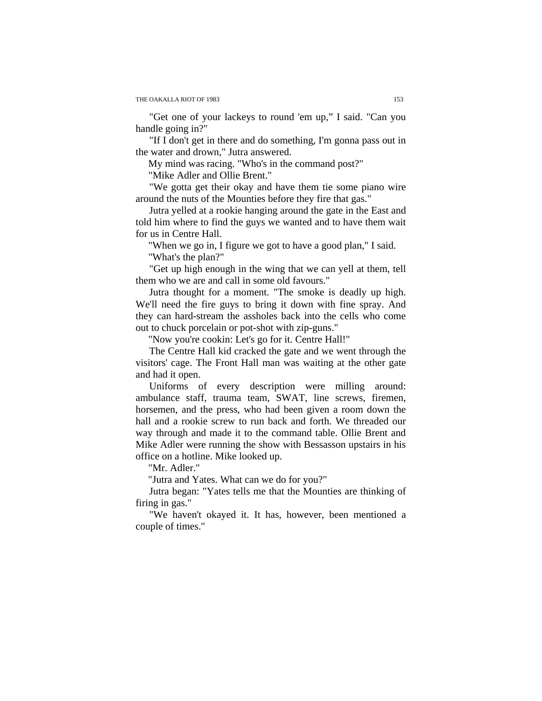"Get one of your lackeys to round 'em up," I said. "Can you handle going in?"

"If I don't get in there and do something, I'm gonna pass out in the water and drown," Jutra answered.

My mind was racing. "Who's in the command post?"

"Mike Adler and Ollie Brent."

"We gotta get their okay and have them tie some piano wire around the nuts of the Mounties before they fire that gas."

Jutra yelled at a rookie hanging around the gate in the East and told him where to find the guys we wanted and to have them wait for us in Centre Hall.

"When we go in, I figure we got to have a good plan," I said. "What's the plan?"

"Get up high enough in the wing that we can yell at them, tell them who we are and call in some old favours."

Jutra thought for a moment. "The smoke is deadly up high. We'll need the fire guys to bring it down with fine spray. And they can hard-stream the assholes back into the cells who come out to chuck porcelain or pot-shot with zip-guns."

"Now you're cookin: Let's go for it. Centre Hall!"

The Centre Hall kid cracked the gate and we went through the visitors' cage. The Front Hall man was waiting at the other gate and had it open.

Uniforms of every description were milling around: ambulance staff, trauma team, SWAT, line screws, firemen, horsemen, and the press, who had been given a room down the hall and a rookie screw to run back and forth. We threaded our way through and made it to the command table. Ollie Brent and Mike Adler were running the show with Bessasson upstairs in his office on a hotline. Mike looked up.

"Mr. Adler."

"Jutra and Yates. What can we do for you?"

Jutra began: "Yates tells me that the Mounties are thinking of firing in gas."

"We haven't okayed it. It has, however, been mentioned a couple of times."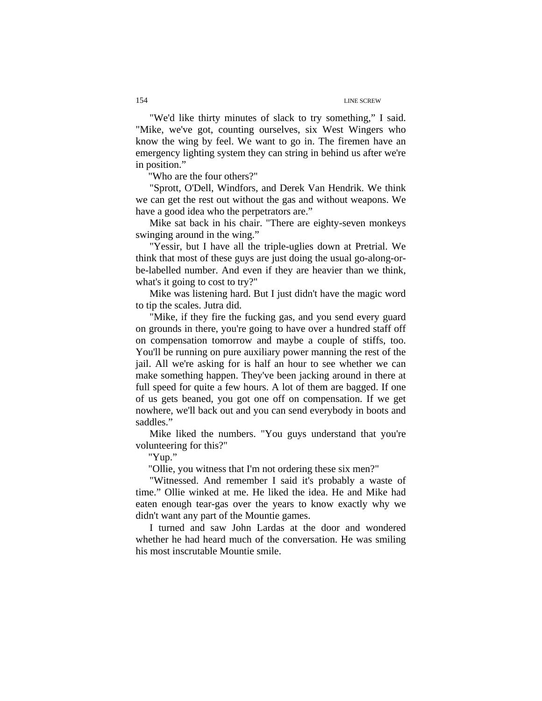"We'd like thirty minutes of slack to try something," I said. "Mike, we've got, counting ourselves, six West Wingers who know the wing by feel. We want to go in. The firemen have an emergency lighting system they can string in behind us after we're in position."

"Who are the four others?"

"Sprott, O'Dell, Windfors, and Derek Van Hendrik. We think we can get the rest out without the gas and without weapons. We have a good idea who the perpetrators are."

Mike sat back in his chair. "There are eighty-seven monkeys swinging around in the wing."

"Yessir, but I have all the triple-uglies down at Pretrial. We think that most of these guys are just doing the usual go-along-orbe-labelled number. And even if they are heavier than we think, what's it going to cost to try?"

Mike was listening hard. But I just didn't have the magic word to tip the scales. Jutra did.

"Mike, if they fire the fucking gas, and you send every guard on grounds in there, you're going to have over a hundred staff off on compensation tomorrow and maybe a couple of stiffs, too. You'll be running on pure auxiliary power manning the rest of the jail. All we're asking for is half an hour to see whether we can make something happen. They've been jacking around in there at full speed for quite a few hours. A lot of them are bagged. If one of us gets beaned, you got one off on compensation. If we get nowhere, we'll back out and you can send everybody in boots and saddles."

Mike liked the numbers. "You guys understand that you're volunteering for this?"

"Yup."

"Ollie, you witness that I'm not ordering these six men?"

"Witnessed. And remember I said it's probably a waste of time." Ollie winked at me. He liked the idea. He and Mike had eaten enough tear-gas over the years to know exactly why we didn't want any part of the Mountie games.

I turned and saw John Lardas at the door and wondered whether he had heard much of the conversation. He was smiling his most inscrutable Mountie smile.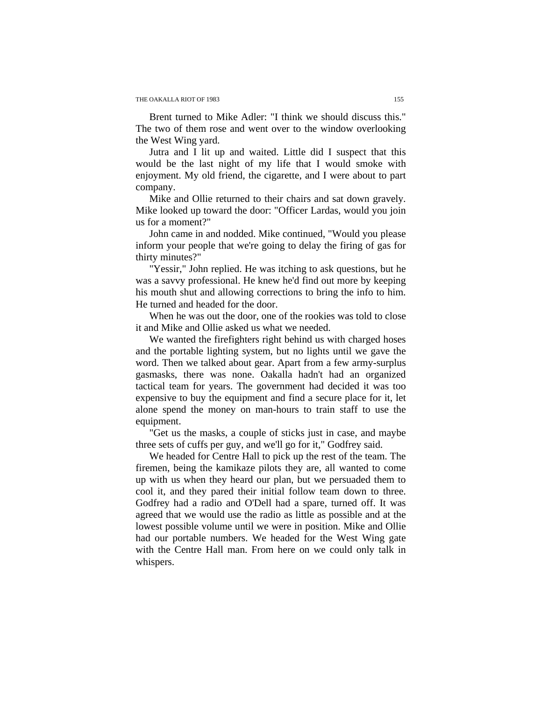Brent turned to Mike Adler: "I think we should discuss this." The two of them rose and went over to the window overlooking the West Wing yard.

Jutra and I lit up and waited. Little did I suspect that this would be the last night of my life that I would smoke with enjoyment. My old friend, the cigarette, and I were about to part company.

Mike and Ollie returned to their chairs and sat down gravely. Mike looked up toward the door: "Officer Lardas, would you join us for a moment?"

John came in and nodded. Mike continued, "Would you please inform your people that we're going to delay the firing of gas for thirty minutes?"

"Yessir," John replied. He was itching to ask questions, but he was a savvy professional. He knew he'd find out more by keeping his mouth shut and allowing corrections to bring the info to him. He turned and headed for the door.

When he was out the door, one of the rookies was told to close it and Mike and Ollie asked us what we needed.

We wanted the firefighters right behind us with charged hoses and the portable lighting system, but no lights until we gave the word. Then we talked about gear. Apart from a few army-surplus gasmasks, there was none. Oakalla hadn't had an organized tactical team for years. The government had decided it was too expensive to buy the equipment and find a secure place for it, let alone spend the money on man-hours to train staff to use the equipment.

"Get us the masks, a couple of sticks just in case, and maybe three sets of cuffs per guy, and we'll go for it," Godfrey said.

We headed for Centre Hall to pick up the rest of the team. The firemen, being the kamikaze pilots they are, all wanted to come up with us when they heard our plan, but we persuaded them to cool it, and they pared their initial follow team down to three. Godfrey had a radio and O'Dell had a spare, turned off. It was agreed that we would use the radio as little as possible and at the lowest possible volume until we were in position. Mike and Ollie had our portable numbers. We headed for the West Wing gate with the Centre Hall man. From here on we could only talk in whispers.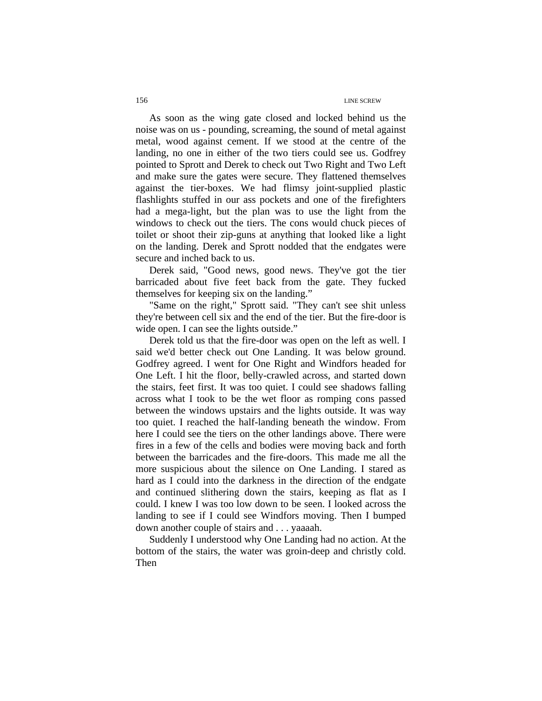As soon as the wing gate closed and locked behind us the noise was on us - pounding, screaming, the sound of metal against metal, wood against cement. If we stood at the centre of the landing, no one in either of the two tiers could see us. Godfrey pointed to Sprott and Derek to check out Two Right and Two Left and make sure the gates were secure. They flattened themselves against the tier-boxes. We had flimsy joint-supplied plastic flashlights stuffed in our ass pockets and one of the firefighters had a mega-light, but the plan was to use the light from the windows to check out the tiers. The cons would chuck pieces of toilet or shoot their zip-guns at anything that looked like a light on the landing. Derek and Sprott nodded that the endgates were secure and inched back to us.

Derek said, "Good news, good news. They've got the tier barricaded about five feet back from the gate. They fucked themselves for keeping six on the landing."

"Same on the right," Sprott said. "They can't see shit unless they're between cell six and the end of the tier. But the fire-door is wide open. I can see the lights outside."

Derek told us that the fire-door was open on the left as well. I said we'd better check out One Landing. It was below ground. Godfrey agreed. I went for One Right and Windfors headed for One Left. I hit the floor, belly-crawled across, and started down the stairs, feet first. It was too quiet. I could see shadows falling across what I took to be the wet floor as romping cons passed between the windows upstairs and the lights outside. It was way too quiet. I reached the half-landing beneath the window. From here I could see the tiers on the other landings above. There were fires in a few of the cells and bodies were moving back and forth between the barricades and the fire-doors. This made me all the more suspicious about the silence on One Landing. I stared as hard as I could into the darkness in the direction of the endgate and continued slithering down the stairs, keeping as flat as I could. I knew I was too low down to be seen. I looked across the landing to see if I could see Windfors moving. Then I bumped down another couple of stairs and . . . yaaaah.

Suddenly I understood why One Landing had no action. At the bottom of the stairs, the water was groin-deep and christly cold. Then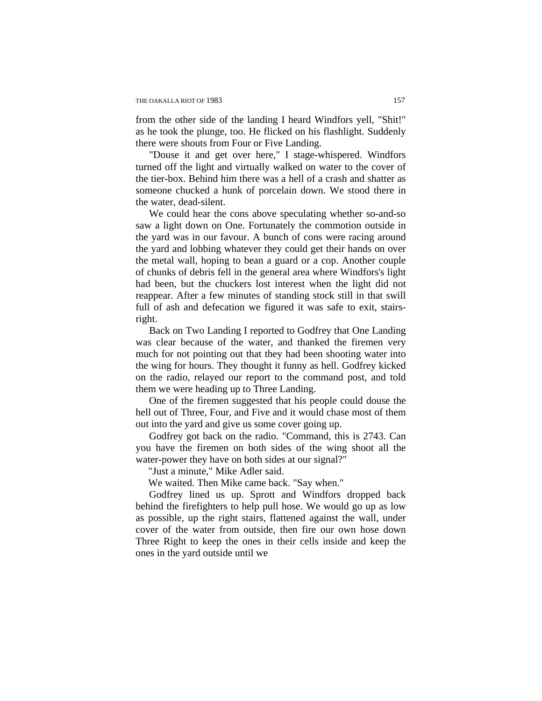from the other side of the landing I heard Windfors yell, "Shit!" as he took the plunge, too. He flicked on his flashlight. Suddenly there were shouts from Four or Five Landing.

"Douse it and get over here," I stage-whispered. Windfors turned off the light and virtually walked on water to the cover of the tier-box. Behind him there was a hell of a crash and shatter as someone chucked a hunk of porcelain down. We stood there in the water, dead-silent.

We could hear the cons above speculating whether so-and-so saw a light down on One. Fortunately the commotion outside in the yard was in our favour. A bunch of cons were racing around the yard and lobbing whatever they could get their hands on over the metal wall, hoping to bean a guard or a cop. Another couple of chunks of debris fell in the general area where Windfors's light had been, but the chuckers lost interest when the light did not reappear. After a few minutes of standing stock still in that swill full of ash and defecation we figured it was safe to exit, stairsright.

Back on Two Landing I reported to Godfrey that One Landing was clear because of the water, and thanked the firemen very much for not pointing out that they had been shooting water into the wing for hours. They thought it funny as hell. Godfrey kicked on the radio, relayed our report to the command post, and told them we were heading up to Three Landing.

One of the firemen suggested that his people could douse the hell out of Three, Four, and Five and it would chase most of them out into the yard and give us some cover going up.

Godfrey got back on the radio. "Command, this is 2743. Can you have the firemen on both sides of the wing shoot all the water-power they have on both sides at our signal?"

"Just a minute," Mike Adler said.

We waited. Then Mike came back. "Say when."

Godfrey lined us up. Sprott and Windfors dropped back behind the firefighters to help pull hose. We would go up as low as possible, up the right stairs, flattened against the wall, under cover of the water from outside, then fire our own hose down Three Right to keep the ones in their cells inside and keep the ones in the yard outside until we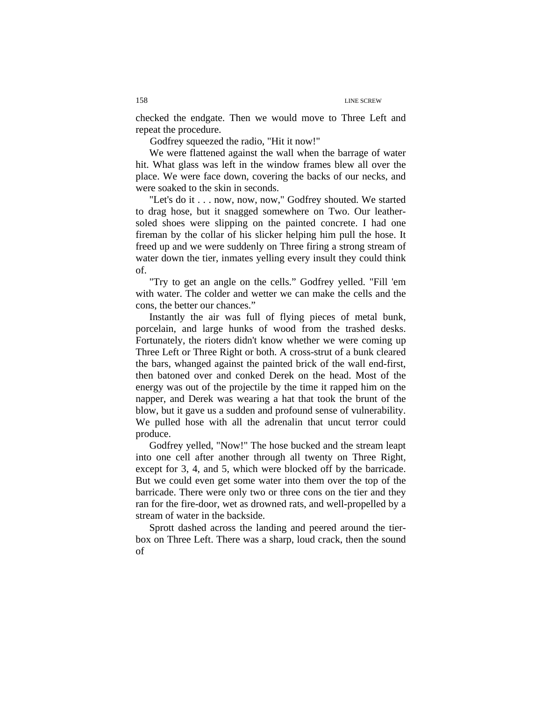checked the endgate. Then we would move to Three Left and repeat the procedure.

Godfrey squeezed the radio, "Hit it now!"

We were flattened against the wall when the barrage of water hit. What glass was left in the window frames blew all over the place. We were face down, covering the backs of our necks, and were soaked to the skin in seconds.

"Let's do it . . . now, now, now," Godfrey shouted. We started to drag hose, but it snagged somewhere on Two. Our leathersoled shoes were slipping on the painted concrete. I had one fireman by the collar of his slicker helping him pull the hose. It freed up and we were suddenly on Three firing a strong stream of water down the tier, inmates yelling every insult they could think of.

"Try to get an angle on the cells." Godfrey yelled. "Fill 'em with water. The colder and wetter we can make the cells and the cons, the better our chances."

Instantly the air was full of flying pieces of metal bunk, porcelain, and large hunks of wood from the trashed desks. Fortunately, the rioters didn't know whether we were coming up Three Left or Three Right or both. A cross-strut of a bunk cleared the bars, whanged against the painted brick of the wall end-first, then batoned over and conked Derek on the head. Most of the energy was out of the projectile by the time it rapped him on the napper, and Derek was wearing a hat that took the brunt of the blow, but it gave us a sudden and profound sense of vulnerability. We pulled hose with all the adrenalin that uncut terror could produce.

Godfrey yelled, "Now!" The hose bucked and the stream leapt into one cell after another through all twenty on Three Right, except for 3, 4, and 5, which were blocked off by the barricade. But we could even get some water into them over the top of the barricade. There were only two or three cons on the tier and they ran for the fire-door, wet as drowned rats, and well-propelled by a stream of water in the backside.

Sprott dashed across the landing and peered around the tierbox on Three Left. There was a sharp, loud crack, then the sound of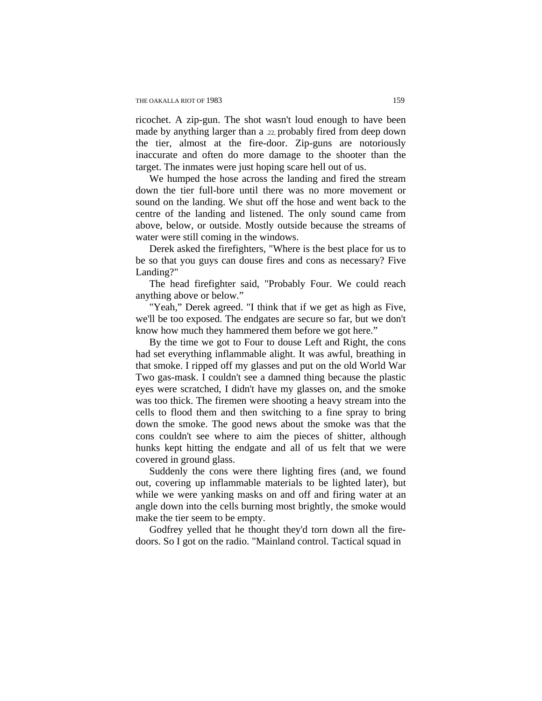ricochet. A zip-gun. The shot wasn't loud enough to have been made by anything larger than a .22, probably fired from deep down the tier, almost at the fire-door. Zip-guns are notoriously inaccurate and often do more damage to the shooter than the target. The inmates were just hoping scare hell out of us.

We humped the hose across the landing and fired the stream down the tier full-bore until there was no more movement or sound on the landing. We shut off the hose and went back to the centre of the landing and listened. The only sound came from above, below, or outside. Mostly outside because the streams of water were still coming in the windows.

Derek asked the firefighters, "Where is the best place for us to be so that you guys can douse fires and cons as necessary? Five Landing?"

The head firefighter said, "Probably Four. We could reach anything above or below."

"Yeah," Derek agreed. "I think that if we get as high as Five, we'll be too exposed. The endgates are secure so far, but we don't know how much they hammered them before we got here."

By the time we got to Four to douse Left and Right, the cons had set everything inflammable alight. It was awful, breathing in that smoke. I ripped off my glasses and put on the old World War Two gas-mask. I couldn't see a damned thing because the plastic eyes were scratched, I didn't have my glasses on, and the smoke was too thick. The firemen were shooting a heavy stream into the cells to flood them and then switching to a fine spray to bring down the smoke. The good news about the smoke was that the cons couldn't see where to aim the pieces of shitter, although hunks kept hitting the endgate and all of us felt that we were covered in ground glass.

Suddenly the cons were there lighting fires (and, we found out, covering up inflammable materials to be lighted later), but while we were yanking masks on and off and firing water at an angle down into the cells burning most brightly, the smoke would make the tier seem to be empty.

Godfrey yelled that he thought they'd torn down all the firedoors. So I got on the radio. "Mainland control. Tactical squad in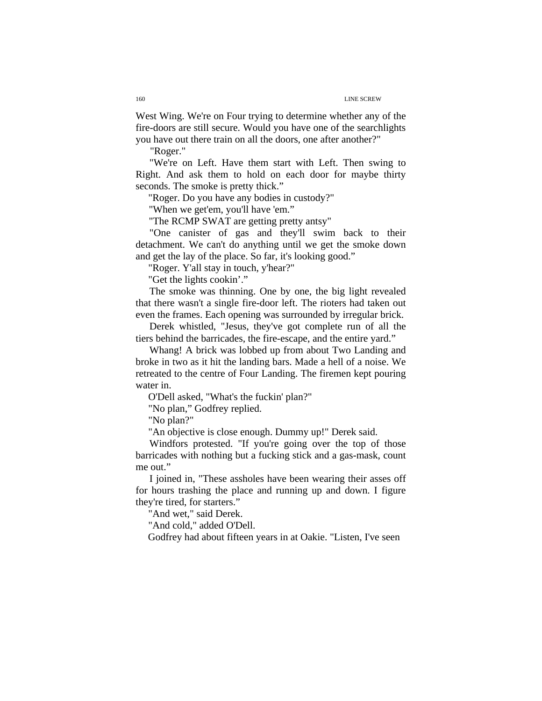West Wing. We're on Four trying to determine whether any of the fire-doors are still secure. Would you have one of the searchlights you have out there train on all the doors, one after another?"

"Roger."

"We're on Left. Have them start with Left. Then swing to Right. And ask them to hold on each door for maybe thirty seconds. The smoke is pretty thick."

"Roger. Do you have any bodies in custody?"

"When we get'em, you'll have 'em."

"The RCMP SWAT are getting pretty antsy"

"One canister of gas and they'll swim back to their detachment. We can't do anything until we get the smoke down and get the lay of the place. So far, it's looking good."

"Roger. Y'all stay in touch, y'hear?"

"Get the lights cookin'."

The smoke was thinning. One by one, the big light revealed that there wasn't a single fire-door left. The rioters had taken out even the frames. Each opening was surrounded by irregular brick.

Derek whistled, "Jesus, they've got complete run of all the tiers behind the barricades, the fire-escape, and the entire yard."

Whang! A brick was lobbed up from about Two Landing and broke in two as it hit the landing bars. Made a hell of a noise. We retreated to the centre of Four Landing. The firemen kept pouring water in.

O'Dell asked, "What's the fuckin' plan?"

"No plan," Godfrey replied.

"No plan?"

"An objective is close enough. Dummy up!" Derek said.

Windfors protested. "If you're going over the top of those barricades with nothing but a fucking stick and a gas-mask, count me out."

I joined in, "These assholes have been wearing their asses off for hours trashing the place and running up and down. I figure they're tired, for starters."

"And wet," said Derek.

"And cold," added O'Dell.

Godfrey had about fifteen years in at Oakie. "Listen, I've seen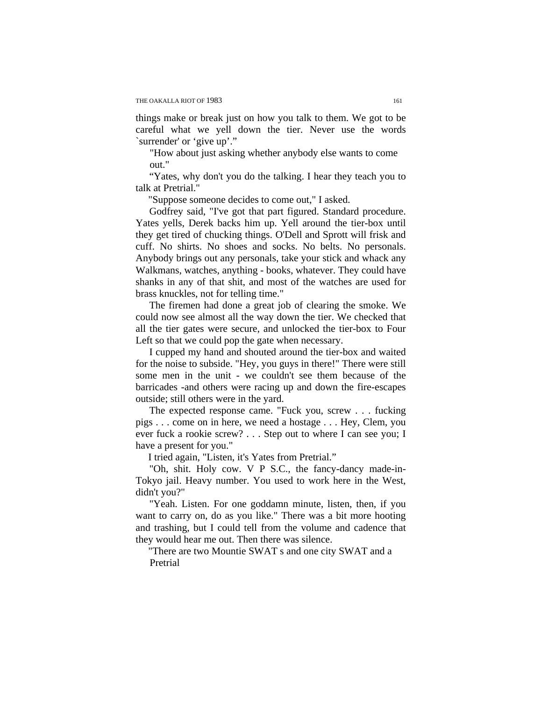things make or break just on how you talk to them. We got to be careful what we yell down the tier. Never use the words `surrender' or 'give up'."

"How about just asking whether anybody else wants to come out."

"Yates, why don't you do the talking. I hear they teach you to talk at Pretrial."

"Suppose someone decides to come out," I asked.

Godfrey said, "I've got that part figured. Standard procedure. Yates yells, Derek backs him up. Yell around the tier-box until they get tired of chucking things. O'Dell and Sprott will frisk and cuff. No shirts. No shoes and socks. No belts. No personals. Anybody brings out any personals, take your stick and whack any Walkmans, watches, anything - books, whatever. They could have shanks in any of that shit, and most of the watches are used for brass knuckles, not for telling time."

The firemen had done a great job of clearing the smoke. We could now see almost all the way down the tier. We checked that all the tier gates were secure, and unlocked the tier-box to Four Left so that we could pop the gate when necessary.

I cupped my hand and shouted around the tier-box and waited for the noise to subside. "Hey, you guys in there!" There were still some men in the unit - we couldn't see them because of the barricades -and others were racing up and down the fire-escapes outside; still others were in the yard.

The expected response came. "Fuck you, screw . . . fucking pigs . . . come on in here, we need a hostage . . . Hey, Clem, you ever fuck a rookie screw? . . . Step out to where I can see you; I have a present for you."

I tried again, "Listen, it's Yates from Pretrial."

"Oh, shit. Holy cow. V P S.C., the fancy-dancy made-in-Tokyo jail. Heavy number. You used to work here in the West, didn't you?"

"Yeah. Listen. For one goddamn minute, listen, then, if you want to carry on, do as you like." There was a bit more hooting and trashing, but I could tell from the volume and cadence that they would hear me out. Then there was silence.

"There are two Mountie SWAT s and one city SWAT and a Pretrial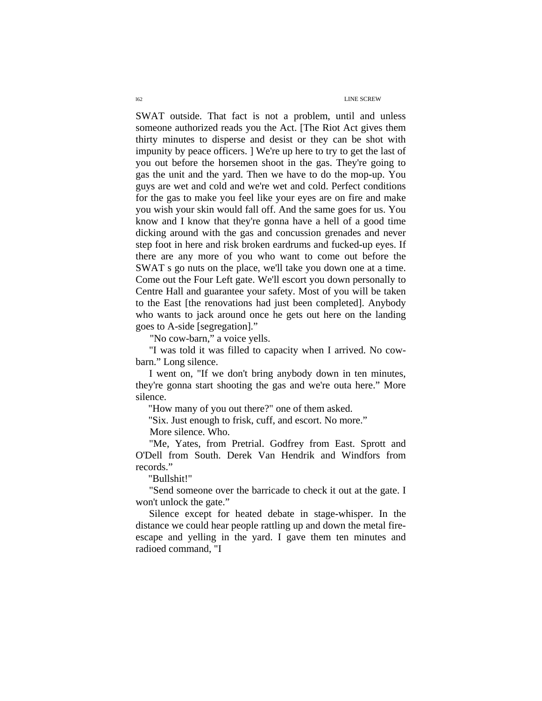#### l62 LINE SCREW

SWAT outside. That fact is not a problem, until and unless someone authorized reads you the Act. [The Riot Act gives them thirty minutes to disperse and desist or they can be shot with impunity by peace officers. ] We're up here to try to get the last of you out before the horsemen shoot in the gas. They're going to gas the unit and the yard. Then we have to do the mop-up. You guys are wet and cold and we're wet and cold. Perfect conditions for the gas to make you feel like your eyes are on fire and make you wish your skin would fall off. And the same goes for us. You know and I know that they're gonna have a hell of a good time dicking around with the gas and concussion grenades and never step foot in here and risk broken eardrums and fucked-up eyes. If there are any more of you who want to come out before the SWAT s go nuts on the place, we'll take you down one at a time. Come out the Four Left gate. We'll escort you down personally to Centre Hall and guarantee your safety. Most of you will be taken to the East [the renovations had just been completed]. Anybody who wants to jack around once he gets out here on the landing goes to A-side [segregation]."

"No cow-barn," a voice yells.

"I was told it was filled to capacity when I arrived. No cowbarn." Long silence.

I went on, "If we don't bring anybody down in ten minutes, they're gonna start shooting the gas and we're outa here." More silence.

"How many of you out there?" one of them asked.

"Six. Just enough to frisk, cuff, and escort. No more."

More silence. Who.

"Me, Yates, from Pretrial. Godfrey from East. Sprott and O'Dell from South. Derek Van Hendrik and Windfors from records."

"Bullshit!"

"Send someone over the barricade to check it out at the gate. I won't unlock the gate."

Silence except for heated debate in stage-whisper. In the distance we could hear people rattling up and down the metal fireescape and yelling in the yard. I gave them ten minutes and radioed command, "I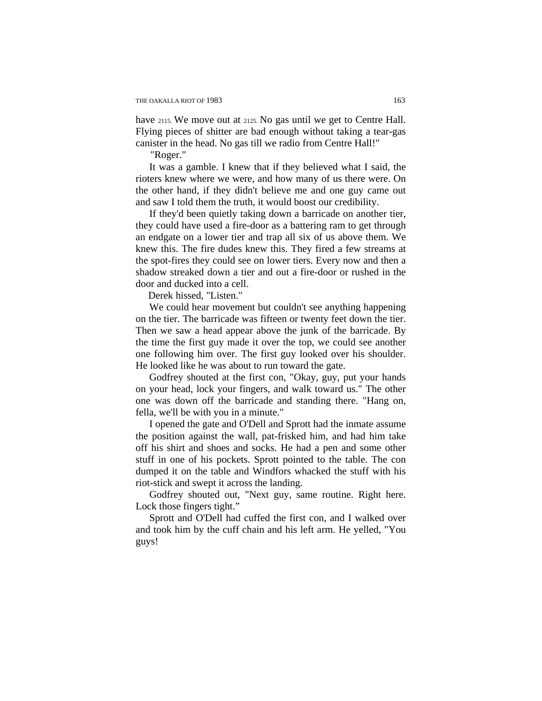have 2115. We move out at 2125. No gas until we get to Centre Hall. Flying pieces of shitter are bad enough without taking a tear-gas canister in the head. No gas till we radio from Centre Hall!"

"Roger."

It was a gamble. I knew that if they believed what I said, the rioters knew where we were, and how many of us there were. On the other hand, if they didn't believe me and one guy came out and saw I told them the truth, it would boost our credibility.

If they'd been quietly taking down a barricade on another tier, they could have used a fire-door as a battering ram to get through an endgate on a lower tier and trap all six of us above them. We knew this. The fire dudes knew this. They fired a few streams at the spot-fires they could see on lower tiers. Every now and then a shadow streaked down a tier and out a fire-door or rushed in the door and ducked into a cell.

Derek hissed, "Listen."

We could hear movement but couldn't see anything happening on the tier. The barricade was fifteen or twenty feet down the tier. Then we saw a head appear above the junk of the barricade. By the time the first guy made it over the top, we could see another one following him over. The first guy looked over his shoulder. He looked like he was about to run toward the gate.

Godfrey shouted at the first con, "Okay, guy, put your hands on your head, lock your fingers, and walk toward us." The other one was down off the barricade and standing there. "Hang on, fella, we'll be with you in a minute."

I opened the gate and O'Dell and Sprott had the inmate assume the position against the wall, pat-frisked him, and had him take off his shirt and shoes and socks. He had a pen and some other stuff in one of his pockets. Sprott pointed to the table. The con dumped it on the table and Windfors whacked the stuff with his riot-stick and swept it across the landing.

Godfrey shouted out, "Next guy, same routine. Right here. Lock those fingers tight."

Sprott and O'Dell had cuffed the first con, and I walked over and took him by the cuff chain and his left arm. He yelled, "You guys!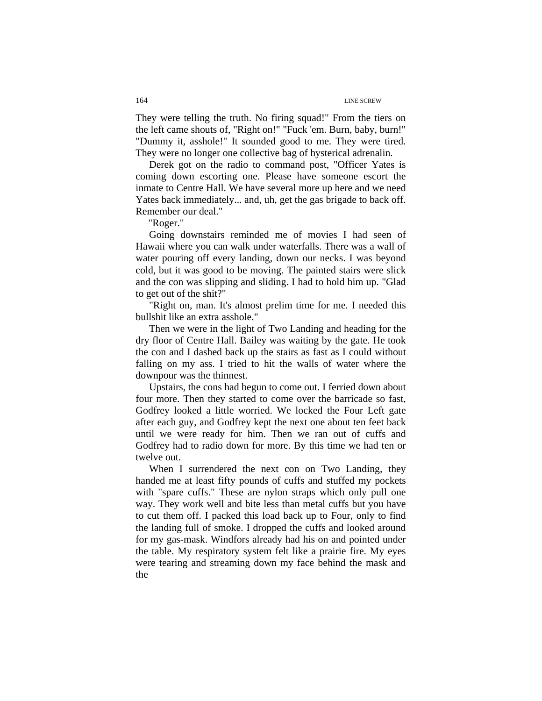They were telling the truth. No firing squad!" From the tiers on the left came shouts of, "Right on!" "Fuck 'em. Burn, baby, burn!" "Dummy it, asshole!" It sounded good to me. They were tired. They were no longer one collective bag of hysterical adrenalin.

Derek got on the radio to command post, "Officer Yates is coming down escorting one. Please have someone escort the inmate to Centre Hall. We have several more up here and we need Yates back immediately... and, uh, get the gas brigade to back off. Remember our deal."

"Roger."

Going downstairs reminded me of movies I had seen of Hawaii where you can walk under waterfalls. There was a wall of water pouring off every landing, down our necks. I was beyond cold, but it was good to be moving. The painted stairs were slick and the con was slipping and sliding. I had to hold him up. "Glad to get out of the shit?"

"Right on, man. It's almost prelim time for me. I needed this bullshit like an extra asshole."

Then we were in the light of Two Landing and heading for the dry floor of Centre Hall. Bailey was waiting by the gate. He took the con and I dashed back up the stairs as fast as I could without falling on my ass. I tried to hit the walls of water where the downpour was the thinnest.

Upstairs, the cons had begun to come out. I ferried down about four more. Then they started to come over the barricade so fast, Godfrey looked a little worried. We locked the Four Left gate after each guy, and Godfrey kept the next one about ten feet back until we were ready for him. Then we ran out of cuffs and Godfrey had to radio down for more. By this time we had ten or twelve out.

When I surrendered the next con on Two Landing, they handed me at least fifty pounds of cuffs and stuffed my pockets with "spare cuffs." These are nylon straps which only pull one way. They work well and bite less than metal cuffs but you have to cut them off. I packed this load back up to Four, only to find the landing full of smoke. I dropped the cuffs and looked around for my gas-mask. Windfors already had his on and pointed under the table. My respiratory system felt like a prairie fire. My eyes were tearing and streaming down my face behind the mask and the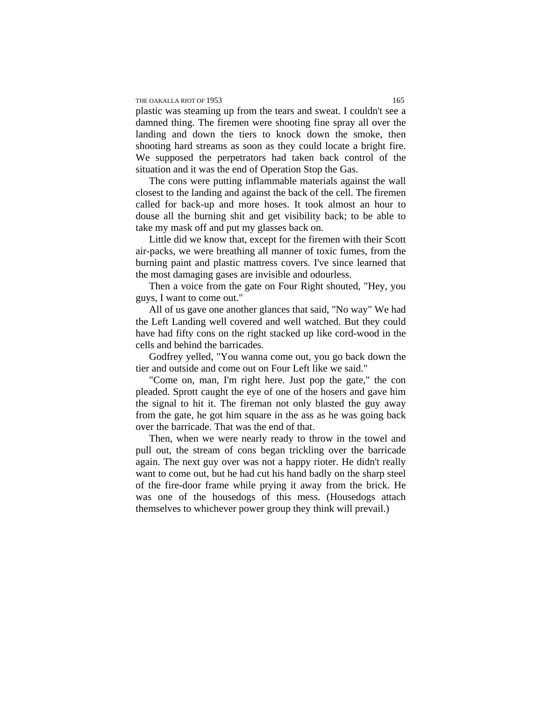### THE OAKALLA RIOT OF 1953 165

plastic was steaming up from the tears and sweat. I couldn't see a damned thing. The firemen were shooting fine spray all over the landing and down the tiers to knock down the smoke, then shooting hard streams as soon as they could locate a bright fire. We supposed the perpetrators had taken back control of the situation and it was the end of Operation Stop the Gas.

The cons were putting inflammable materials against the wall closest to the landing and against the back of the cell. The firemen called for back-up and more hoses. It took almost an hour to douse all the burning shit and get visibility back; to be able to take my mask off and put my glasses back on.

Little did we know that, except for the firemen with their Scott air-packs, we were breathing all manner of toxic fumes, from the burning paint and plastic mattress covers. I've since learned that the most damaging gases are invisible and odourless.

Then a voice from the gate on Four Right shouted, "Hey, you guys, I want to come out."

All of us gave one another glances that said, "No way" We had the Left Landing well covered and well watched. But they could have had fifty cons on the right stacked up like cord-wood in the cells and behind the barricades.

Godfrey yelled, "You wanna come out, you go back down the tier and outside and come out on Four Left like we said."

"Come on, man, I'm right here. Just pop the gate," the con pleaded. Sprott caught the eye of one of the hosers and gave him the signal to hit it. The fireman not only blasted the guy away from the gate, he got him square in the ass as he was going back over the barricade. That was the end of that.

Then, when we were nearly ready to throw in the towel and pull out, the stream of cons began trickling over the barricade again. The next guy over was not a happy rioter. He didn't really want to come out, but he had cut his hand badly on the sharp steel of the fire-door frame while prying it away from the brick. He was one of the housedogs of this mess. (Housedogs attach themselves to whichever power group they think will prevail.)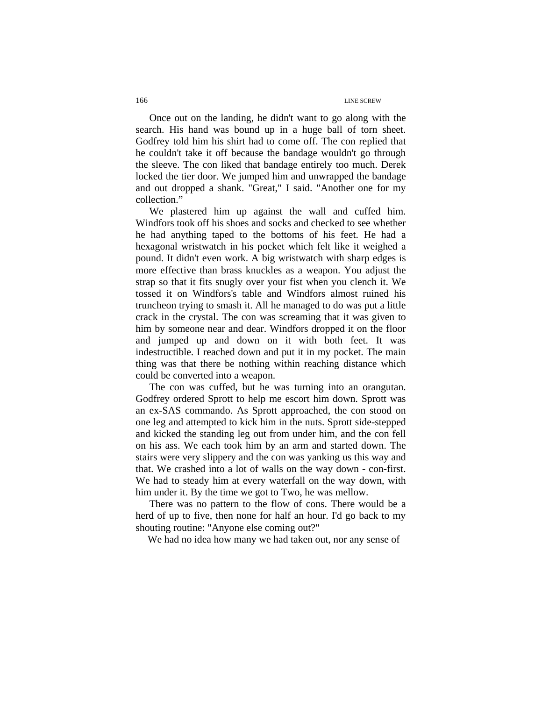Once out on the landing, he didn't want to go along with the search. His hand was bound up in a huge ball of torn sheet. Godfrey told him his shirt had to come off. The con replied that he couldn't take it off because the bandage wouldn't go through the sleeve. The con liked that bandage entirely too much. Derek locked the tier door. We jumped him and unwrapped the bandage and out dropped a shank. "Great," I said. "Another one for my collection."

We plastered him up against the wall and cuffed him. Windfors took off his shoes and socks and checked to see whether he had anything taped to the bottoms of his feet. He had a hexagonal wristwatch in his pocket which felt like it weighed a pound. It didn't even work. A big wristwatch with sharp edges is more effective than brass knuckles as a weapon. You adjust the strap so that it fits snugly over your fist when you clench it. We tossed it on Windfors's table and Windfors almost ruined his truncheon trying to smash it. All he managed to do was put a little crack in the crystal. The con was screaming that it was given to him by someone near and dear. Windfors dropped it on the floor and jumped up and down on it with both feet. It was indestructible. I reached down and put it in my pocket. The main thing was that there be nothing within reaching distance which could be converted into a weapon.

The con was cuffed, but he was turning into an orangutan. Godfrey ordered Sprott to help me escort him down. Sprott was an ex-SAS commando. As Sprott approached, the con stood on one leg and attempted to kick him in the nuts. Sprott side-stepped and kicked the standing leg out from under him, and the con fell on his ass. We each took him by an arm and started down. The stairs were very slippery and the con was yanking us this way and that. We crashed into a lot of walls on the way down - con-first. We had to steady him at every waterfall on the way down, with him under it. By the time we got to Two, he was mellow.

There was no pattern to the flow of cons. There would be a herd of up to five, then none for half an hour. I'd go back to my shouting routine: "Anyone else coming out?"

We had no idea how many we had taken out, nor any sense of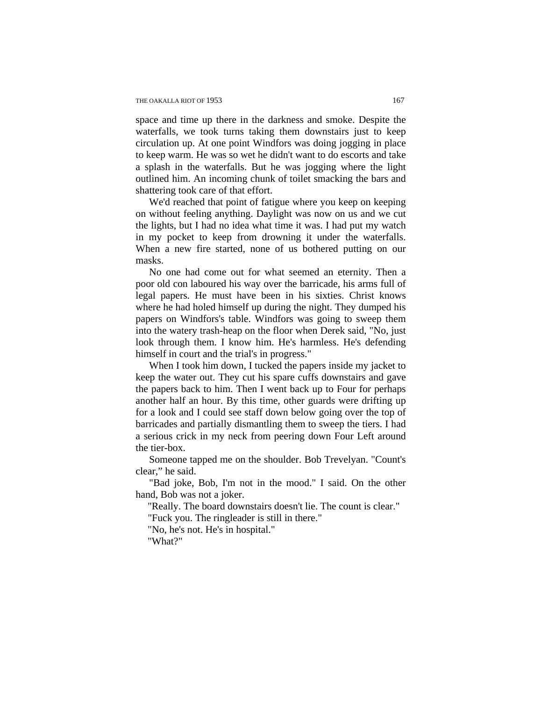space and time up there in the darkness and smoke. Despite the waterfalls, we took turns taking them downstairs just to keep circulation up. At one point Windfors was doing jogging in place to keep warm. He was so wet he didn't want to do escorts and take a splash in the waterfalls. But he was jogging where the light outlined him. An incoming chunk of toilet smacking the bars and shattering took care of that effort.

We'd reached that point of fatigue where you keep on keeping on without feeling anything. Daylight was now on us and we cut the lights, but I had no idea what time it was. I had put my watch in my pocket to keep from drowning it under the waterfalls. When a new fire started, none of us bothered putting on our masks.

No one had come out for what seemed an eternity. Then a poor old con laboured his way over the barricade, his arms full of legal papers. He must have been in his sixties. Christ knows where he had holed himself up during the night. They dumped his papers on Windfors's table. Windfors was going to sweep them into the watery trash-heap on the floor when Derek said, "No, just look through them. I know him. He's harmless. He's defending himself in court and the trial's in progress."

When I took him down, I tucked the papers inside my jacket to keep the water out. They cut his spare cuffs downstairs and gave the papers back to him. Then I went back up to Four for perhaps another half an hour. By this time, other guards were drifting up for a look and I could see staff down below going over the top of barricades and partially dismantling them to sweep the tiers. I had a serious crick in my neck from peering down Four Left around the tier-box.

Someone tapped me on the shoulder. Bob Trevelyan. "Count's clear," he said.

"Bad joke, Bob, I'm not in the mood." I said. On the other hand, Bob was not a joker.

"Really. The board downstairs doesn't lie. The count is clear."

"Fuck you. The ringleader is still in there."

"No, he's not. He's in hospital."

"What?"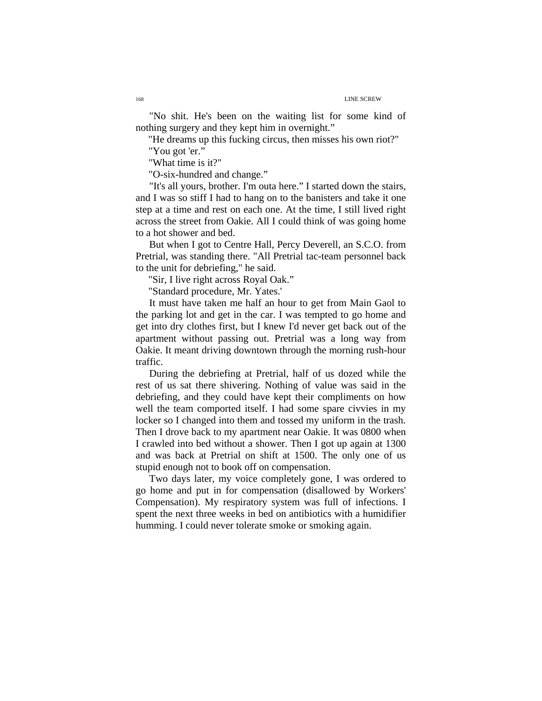"No shit. He's been on the waiting list for some kind of nothing surgery and they kept him in overnight."

"He dreams up this fucking circus, then misses his own riot?"

"You got 'er."

"What time is it?"

"O-six-hundred and change."

"It's all yours, brother. I'm outa here." I started down the stairs, and I was so stiff I had to hang on to the banisters and take it one step at a time and rest on each one. At the time, I still lived right across the street from Oakie. All I could think of was going home to a hot shower and bed.

But when I got to Centre Hall, Percy Deverell, an S.C.O. from Pretrial, was standing there. "All Pretrial tac-team personnel back to the unit for debriefing," he said.

"Sir, I live right across Royal Oak."

"Standard procedure, Mr. Yates.'

It must have taken me half an hour to get from Main Gaol to the parking lot and get in the car. I was tempted to go home and get into dry clothes first, but I knew I'd never get back out of the apartment without passing out. Pretrial was a long way from Oakie. It meant driving downtown through the morning rush-hour traffic.

During the debriefing at Pretrial, half of us dozed while the rest of us sat there shivering. Nothing of value was said in the debriefing, and they could have kept their compliments on how well the team comported itself. I had some spare civvies in my locker so I changed into them and tossed my uniform in the trash. Then I drove back to my apartment near Oakie. It was 0800 when I crawled into bed without a shower. Then I got up again at 1300 and was back at Pretrial on shift at 1500. The only one of us stupid enough not to book off on compensation.

Two days later, my voice completely gone, I was ordered to go home and put in for compensation (disallowed by Workers' Compensation). My respiratory system was full of infections. I spent the next three weeks in bed on antibiotics with a humidifier humming. I could never tolerate smoke or smoking again.